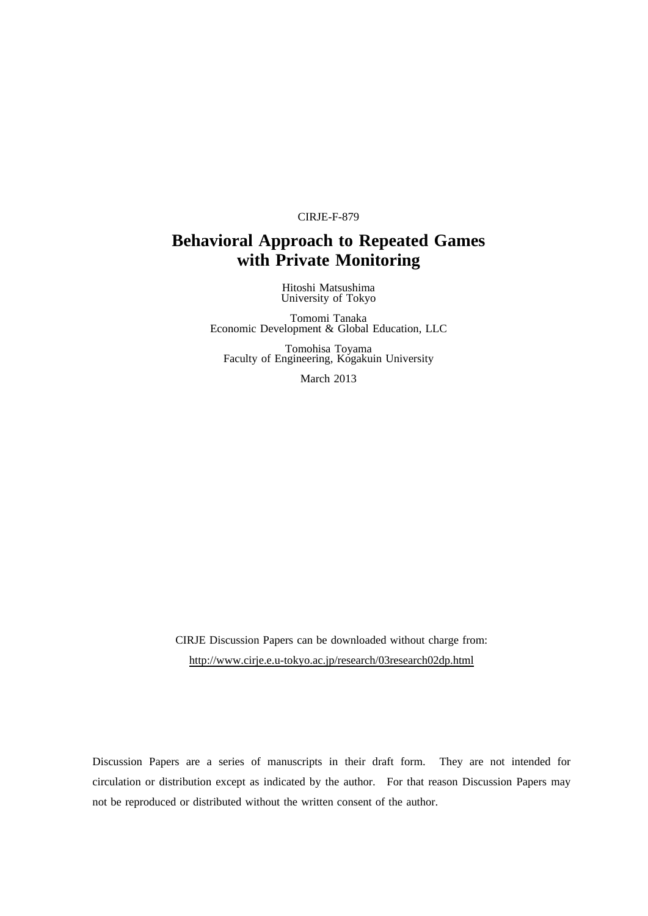#### CIRJE-F-879

# **Behavioral Approach to Repeated Games with Private Monitoring**

Hitoshi Matsushima University of Tokyo

Tomomi Tanaka Economic Development & Global Education, LLC

Tomohisa Toyama Faculty of Engineering, Kogakuin University

March 2013

CIRJE Discussion Papers can be downloaded without charge from: http://www.cirje.e.u-tokyo.ac.jp/research/03research02dp.html

Discussion Papers are a series of manuscripts in their draft form. They are not intended for circulation or distribution except as indicated by the author. For that reason Discussion Papers may not be reproduced or distributed without the written consent of the author.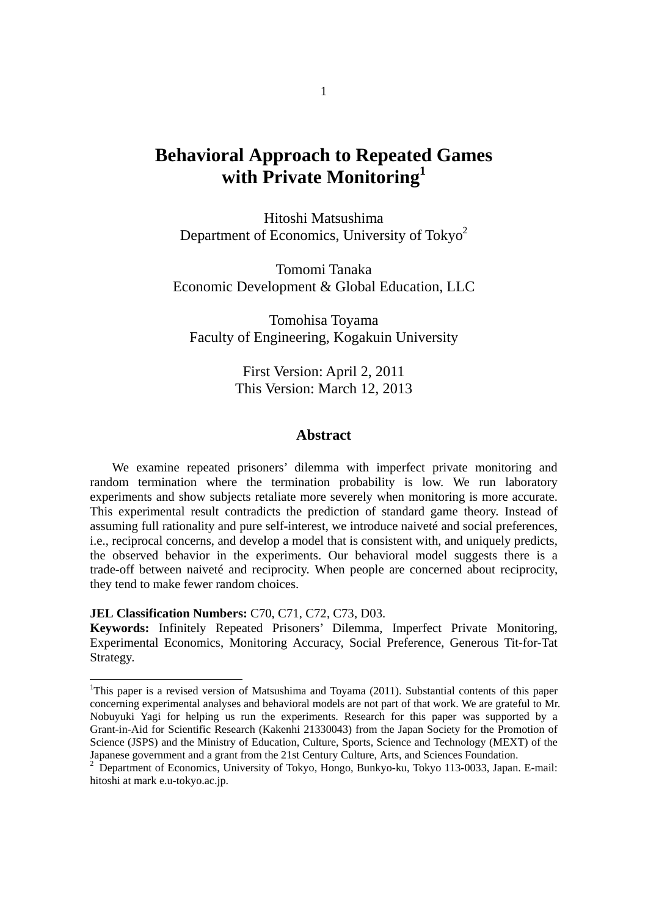# **Behavioral Approach to Repeated Games with Private Monitoring1**

Hitoshi Matsushima Department of Economics, University of Tokyo<sup>2</sup>

Tomomi Tanaka Economic Development & Global Education, LLC

Tomohisa Toyama Faculty of Engineering, Kogakuin University

> First Version: April 2, 2011 This Version: March 12, 2013

### **Abstract**

We examine repeated prisoners' dilemma with imperfect private monitoring and random termination where the termination probability is low. We run laboratory experiments and show subjects retaliate more severely when monitoring is more accurate. This experimental result contradicts the prediction of standard game theory. Instead of assuming full rationality and pure self-interest, we introduce naiveté and social preferences, i.e., reciprocal concerns, and develop a model that is consistent with, and uniquely predicts, the observed behavior in the experiments. Our behavioral model suggests there is a trade-off between naiveté and reciprocity. When people are concerned about reciprocity, they tend to make fewer random choices.

**JEL Classification Numbers:** C70, C71, C72, C73, D03.

-

**Keywords:** Infinitely Repeated Prisoners' Dilemma, Imperfect Private Monitoring, Experimental Economics, Monitoring Accuracy, Social Preference, Generous Tit-for-Tat Strategy.

<sup>&</sup>lt;sup>1</sup>This paper is a revised version of Matsushima and Toyama (2011). Substantial contents of this paper concerning experimental analyses and behavioral models are not part of that work. We are grateful to Mr. Nobuyuki Yagi for helping us run the experiments. Research for this paper was supported by a Grant-in-Aid for Scientific Research (Kakenhi 21330043) from the Japan Society for the Promotion of Science (JSPS) and the Ministry of Education, Culture, Sports, Science and Technology (MEXT) of the Japanese government and a grant from the 21st Century Culture, Arts, and Sciences Foundation.<br><sup>2</sup> Department of Feonomias, University of Televe, University of Pulsue, Pulsue 112,0022, Japan.

Department of Economics, University of Tokyo, Hongo, Bunkyo-ku, Tokyo 113-0033, Japan. E-mail: hitoshi at mark e.u-tokyo.ac.jp.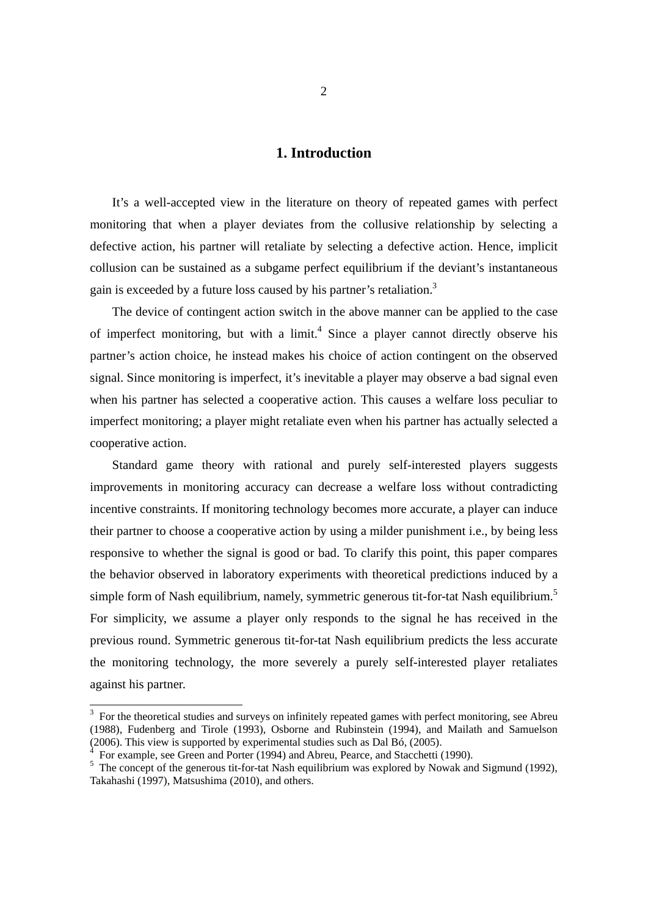## **1. Introduction**

 It's a well-accepted view in the literature on theory of repeated games with perfect monitoring that when a player deviates from the collusive relationship by selecting a defective action, his partner will retaliate by selecting a defective action. Hence, implicit collusion can be sustained as a subgame perfect equilibrium if the deviant's instantaneous gain is exceeded by a future loss caused by his partner's retaliation.<sup>3</sup>

 The device of contingent action switch in the above manner can be applied to the case of imperfect monitoring, but with a  $limit<sup>4</sup>$  Since a player cannot directly observe his partner's action choice, he instead makes his choice of action contingent on the observed signal. Since monitoring is imperfect, it's inevitable a player may observe a bad signal even when his partner has selected a cooperative action. This causes a welfare loss peculiar to imperfect monitoring; a player might retaliate even when his partner has actually selected a cooperative action.

 Standard game theory with rational and purely self-interested players suggests improvements in monitoring accuracy can decrease a welfare loss without contradicting incentive constraints. If monitoring technology becomes more accurate, a player can induce their partner to choose a cooperative action by using a milder punishment i.e., by being less responsive to whether the signal is good or bad. To clarify this point, this paper compares the behavior observed in laboratory experiments with theoretical predictions induced by a simple form of Nash equilibrium, namely, symmetric generous tit-for-tat Nash equilibrium.<sup>5</sup> For simplicity, we assume a player only responds to the signal he has received in the previous round. Symmetric generous tit-for-tat Nash equilibrium predicts the less accurate the monitoring technology, the more severely a purely self-interested player retaliates against his partner.

-

 $3$  For the theoretical studies and surveys on infinitely repeated games with perfect monitoring, see Abreu (1988), Fudenberg and Tirole (1993), Osborne and Rubinstein (1994), and Mailath and Samuelson (2006). This view is supported by experimental studies such as Dal Bó, (2005).

<sup>4</sup> For example, see Green and Porter (1994) and Abreu, Pearce, and Stacchetti (1990).

 $<sup>5</sup>$  The concept of the generous tit-for-tat Nash equilibrium was explored by Nowak and Sigmund (1992),</sup> Takahashi (1997), Matsushima (2010), and others.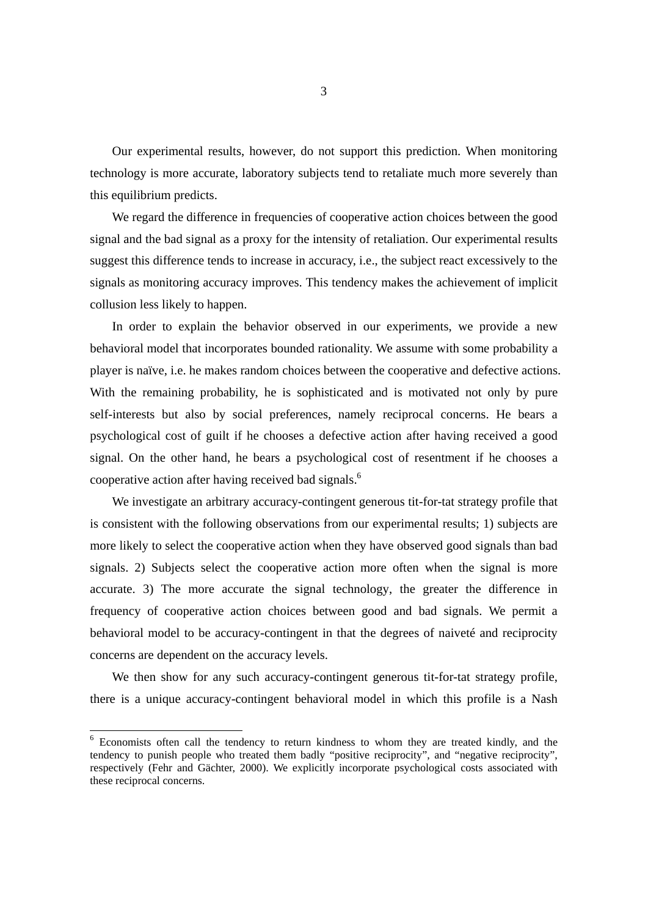Our experimental results, however, do not support this prediction. When monitoring technology is more accurate, laboratory subjects tend to retaliate much more severely than this equilibrium predicts.

 We regard the difference in frequencies of cooperative action choices between the good signal and the bad signal as a proxy for the intensity of retaliation. Our experimental results suggest this difference tends to increase in accuracy, i.e., the subject react excessively to the signals as monitoring accuracy improves. This tendency makes the achievement of implicit collusion less likely to happen.

In order to explain the behavior observed in our experiments, we provide a new behavioral model that incorporates bounded rationality. We assume with some probability a player is naïve, i.e. he makes random choices between the cooperative and defective actions. With the remaining probability, he is sophisticated and is motivated not only by pure self-interests but also by social preferences, namely reciprocal concerns. He bears a psychological cost of guilt if he chooses a defective action after having received a good signal. On the other hand, he bears a psychological cost of resentment if he chooses a cooperative action after having received bad signals.<sup>6</sup>

We investigate an arbitrary accuracy-contingent generous tit-for-tat strategy profile that is consistent with the following observations from our experimental results; 1) subjects are more likely to select the cooperative action when they have observed good signals than bad signals. 2) Subjects select the cooperative action more often when the signal is more accurate. 3) The more accurate the signal technology, the greater the difference in frequency of cooperative action choices between good and bad signals. We permit a behavioral model to be accuracy-contingent in that the degrees of naiveté and reciprocity concerns are dependent on the accuracy levels.

We then show for any such accuracy-contingent generous tit-for-tat strategy profile, there is a unique accuracy-contingent behavioral model in which this profile is a Nash

-

<sup>6</sup> Economists often call the tendency to return kindness to whom they are treated kindly, and the tendency to punish people who treated them badly "positive reciprocity", and "negative reciprocity", respectively (Fehr and Gächter, 2000). We explicitly incorporate psychological costs associated with these reciprocal concerns.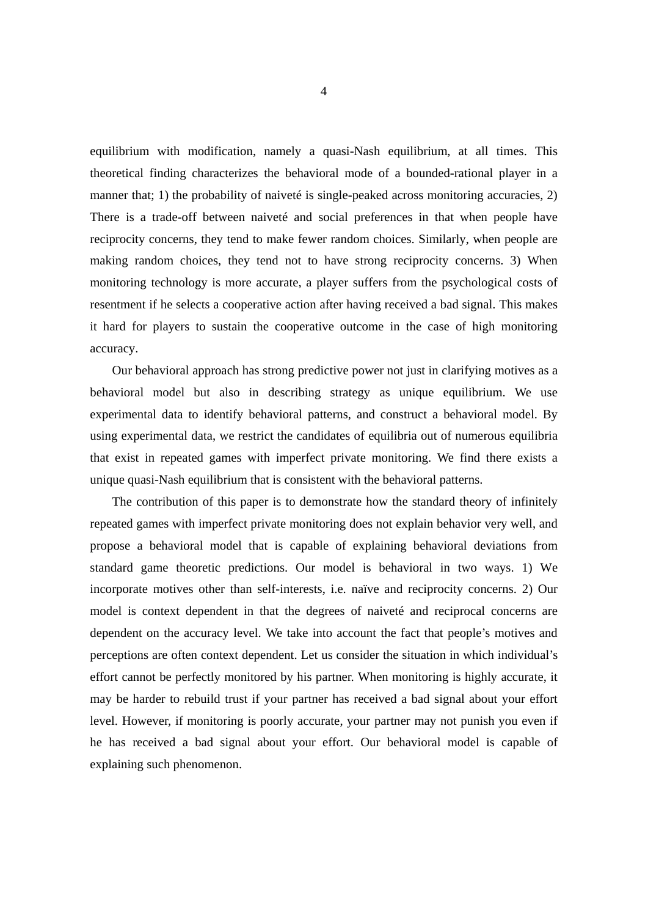equilibrium with modification, namely a quasi-Nash equilibrium, at all times. This theoretical finding characterizes the behavioral mode of a bounded-rational player in a manner that; 1) the probability of naiveté is single-peaked across monitoring accuracies, 2) There is a trade-off between naiveté and social preferences in that when people have reciprocity concerns, they tend to make fewer random choices. Similarly, when people are making random choices, they tend not to have strong reciprocity concerns. 3) When monitoring technology is more accurate, a player suffers from the psychological costs of resentment if he selects a cooperative action after having received a bad signal. This makes it hard for players to sustain the cooperative outcome in the case of high monitoring accuracy.

Our behavioral approach has strong predictive power not just in clarifying motives as a behavioral model but also in describing strategy as unique equilibrium. We use experimental data to identify behavioral patterns, and construct a behavioral model. By using experimental data, we restrict the candidates of equilibria out of numerous equilibria that exist in repeated games with imperfect private monitoring. We find there exists a unique quasi-Nash equilibrium that is consistent with the behavioral patterns.

The contribution of this paper is to demonstrate how the standard theory of infinitely repeated games with imperfect private monitoring does not explain behavior very well, and propose a behavioral model that is capable of explaining behavioral deviations from standard game theoretic predictions. Our model is behavioral in two ways. 1) We incorporate motives other than self-interests, i.e. naïve and reciprocity concerns. 2) Our model is context dependent in that the degrees of naiveté and reciprocal concerns are dependent on the accuracy level. We take into account the fact that people's motives and perceptions are often context dependent. Let us consider the situation in which individual's effort cannot be perfectly monitored by his partner. When monitoring is highly accurate, it may be harder to rebuild trust if your partner has received a bad signal about your effort level. However, if monitoring is poorly accurate, your partner may not punish you even if he has received a bad signal about your effort. Our behavioral model is capable of explaining such phenomenon.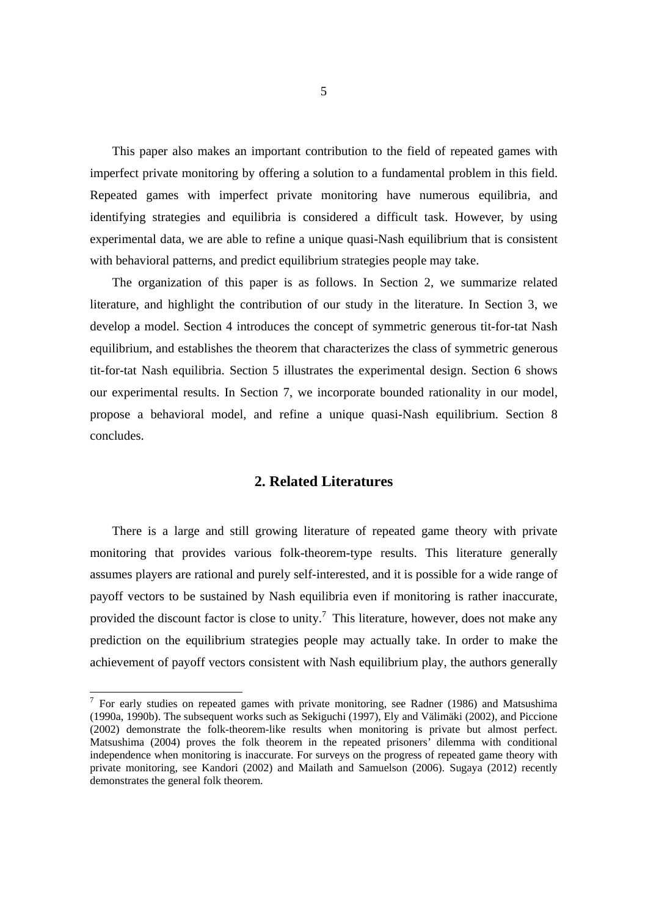This paper also makes an important contribution to the field of repeated games with imperfect private monitoring by offering a solution to a fundamental problem in this field. Repeated games with imperfect private monitoring have numerous equilibria, and identifying strategies and equilibria is considered a difficult task. However, by using experimental data, we are able to refine a unique quasi-Nash equilibrium that is consistent with behavioral patterns, and predict equilibrium strategies people may take.

 The organization of this paper is as follows. In Section 2, we summarize related literature, and highlight the contribution of our study in the literature. In Section 3, we develop a model. Section 4 introduces the concept of symmetric generous tit-for-tat Nash equilibrium, and establishes the theorem that characterizes the class of symmetric generous tit-for-tat Nash equilibria. Section 5 illustrates the experimental design. Section 6 shows our experimental results. In Section 7, we incorporate bounded rationality in our model, propose a behavioral model, and refine a unique quasi-Nash equilibrium. Section 8 concludes.

### **2. Related Literatures**

There is a large and still growing literature of repeated game theory with private monitoring that provides various folk-theorem-type results. This literature generally assumes players are rational and purely self-interested, and it is possible for a wide range of payoff vectors to be sustained by Nash equilibria even if monitoring is rather inaccurate, provided the discount factor is close to unity.<sup>7</sup> This literature, however, does not make any prediction on the equilibrium strategies people may actually take. In order to make the achievement of payoff vectors consistent with Nash equilibrium play, the authors generally

<sup>&</sup>lt;sup>7</sup> For early studies on repeated games with private monitoring, see Radner (1986) and Matsushima (1990a, 1990b). The subsequent works such as Sekiguchi (1997), Ely and Välimäki (2002), and Piccione (2002) demonstrate the folk-theorem-like results when monitoring is private but almost perfect. Matsushima (2004) proves the folk theorem in the repeated prisoners' dilemma with conditional independence when monitoring is inaccurate. For surveys on the progress of repeated game theory with private monitoring, see Kandori (2002) and Mailath and Samuelson (2006). Sugaya (2012) recently demonstrates the general folk theorem.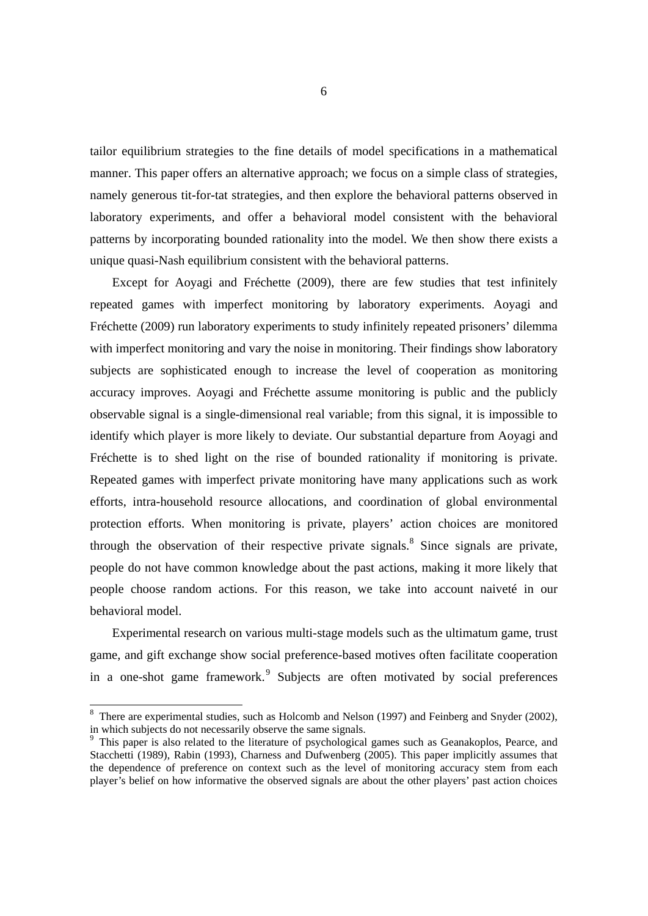tailor equilibrium strategies to the fine details of model specifications in a mathematical manner. This paper offers an alternative approach; we focus on a simple class of strategies, namely generous tit-for-tat strategies, and then explore the behavioral patterns observed in laboratory experiments, and offer a behavioral model consistent with the behavioral patterns by incorporating bounded rationality into the model. We then show there exists a unique quasi-Nash equilibrium consistent with the behavioral patterns.

Except for Aoyagi and Fréchette (2009), there are few studies that test infinitely repeated games with imperfect monitoring by laboratory experiments. Aoyagi and Fréchette (2009) run laboratory experiments to study infinitely repeated prisoners' dilemma with imperfect monitoring and vary the noise in monitoring. Their findings show laboratory subjects are sophisticated enough to increase the level of cooperation as monitoring accuracy improves. Aoyagi and Fréchette assume monitoring is public and the publicly observable signal is a single-dimensional real variable; from this signal, it is impossible to identify which player is more likely to deviate. Our substantial departure from Aoyagi and Fréchette is to shed light on the rise of bounded rationality if monitoring is private. Repeated games with imperfect private monitoring have many applications such as work efforts, intra-household resource allocations, and coordination of global environmental protection efforts. When monitoring is private, players' action choices are monitored through the observation of their respective private signals.<sup>8</sup> Since signals are private, people do not have common knowledge about the past actions, making it more likely that people choose random actions. For this reason, we take into account naiveté in our behavioral model.

Experimental research on various multi-stage models such as the ultimatum game, trust game, and gift exchange show social preference-based motives often facilitate cooperation in a one-shot game framework.<sup>9</sup> Subjects are often motivated by social preferences

-

 $8$  There are experimental studies, such as Holcomb and Nelson (1997) and Feinberg and Snyder (2002), in which subjects do not necessarily observe the same signals.

<sup>9</sup> This paper is also related to the literature of psychological games such as Geanakoplos, Pearce, and Stacchetti (1989), Rabin (1993), Charness and Dufwenberg (2005). This paper implicitly assumes that the dependence of preference on context such as the level of monitoring accuracy stem from each player's belief on how informative the observed signals are about the other players' past action choices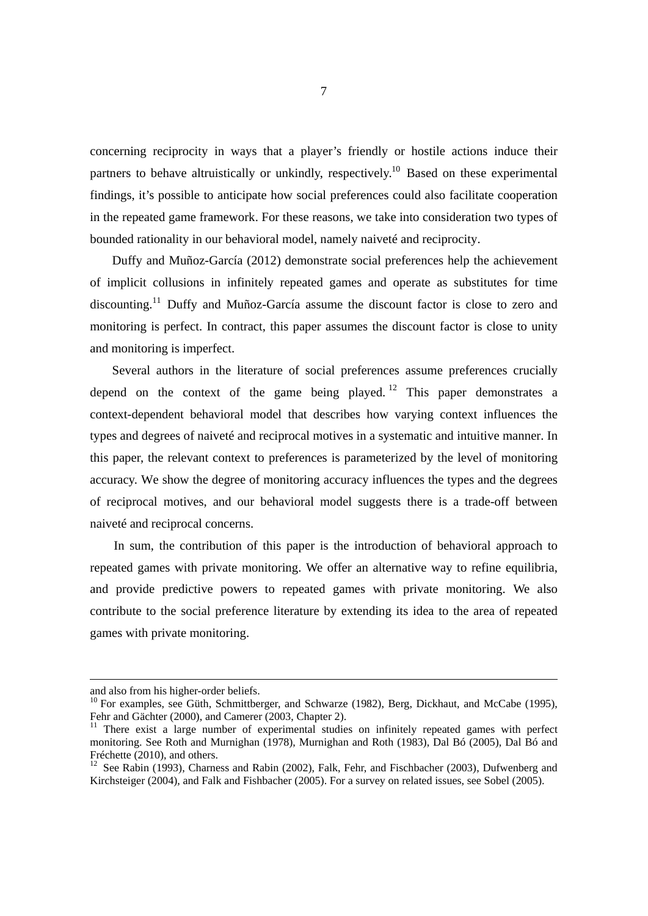concerning reciprocity in ways that a player's friendly or hostile actions induce their partners to behave altruistically or unkindly, respectively.<sup>10</sup> Based on these experimental findings, it's possible to anticipate how social preferences could also facilitate cooperation in the repeated game framework. For these reasons, we take into consideration two types of bounded rationality in our behavioral model, namely naiveté and reciprocity.

Duffy and Muñoz-García (2012) demonstrate social preferences help the achievement of implicit collusions in infinitely repeated games and operate as substitutes for time discounting.11 Duffy and Muñoz-García assume the discount factor is close to zero and monitoring is perfect. In contract, this paper assumes the discount factor is close to unity and monitoring is imperfect.

Several authors in the literature of social preferences assume preferences crucially depend on the context of the game being played.<sup>12</sup> This paper demonstrates a context-dependent behavioral model that describes how varying context influences the types and degrees of naiveté and reciprocal motives in a systematic and intuitive manner. In this paper, the relevant context to preferences is parameterized by the level of monitoring accuracy. We show the degree of monitoring accuracy influences the types and the degrees of reciprocal motives, and our behavioral model suggests there is a trade-off between naiveté and reciprocal concerns.

In sum, the contribution of this paper is the introduction of behavioral approach to repeated games with private monitoring. We offer an alternative way to refine equilibria, and provide predictive powers to repeated games with private monitoring. We also contribute to the social preference literature by extending its idea to the area of repeated games with private monitoring.

l

and also from his higher-order beliefs.

<sup>&</sup>lt;sup>10</sup> For examples, see Güth, Schmittberger, and Schwarze (1982), Berg, Dickhaut, and McCabe (1995), Fehr and Gächter (2000), and Camerer (2003, Chapter 2).

<sup>&</sup>lt;sup>11</sup> There exist a large number of experimental studies on infinitely repeated games with perfect monitoring. See Roth and Murnighan (1978), Murnighan and Roth (1983), Dal Bó (2005), Dal Bó and Fréchette (2010), and others.

<sup>&</sup>lt;sup>12</sup> See Rabin (1993), Charness and Rabin (2002), Falk, Fehr, and Fischbacher (2003), Dufwenberg and Kirchsteiger (2004), and Falk and Fishbacher (2005). For a survey on related issues, see Sobel (2005).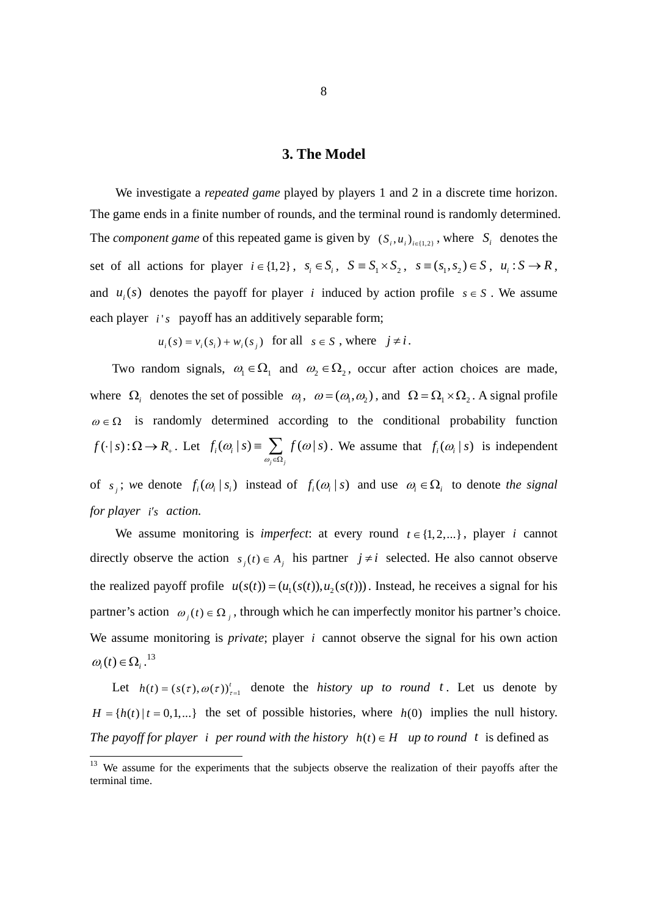#### **3. The Model**

We investigate a *repeated game* played by players 1 and 2 in a discrete time horizon. The game ends in a finite number of rounds, and the terminal round is randomly determined. The *component game* of this repeated game is given by  $(S_i, u_i)_{i \in \{1,2\}}$ , where  $S_i$  denotes the set of all actions for player  $i \in \{1,2\}$ ,  $s_i \in S_i$ ,  $S = S_1 \times S_2$ ,  $s = (s_1, s_2) \in S$ ,  $u_i : S \to R$ , and  $u_i(s)$  denotes the payoff for player *i* induced by action profile  $s \in S$ . We assume each player *i's* payoff has an additively separable form;

 $u_i(s) = v_i(s_i) + w_i(s_i)$  for all  $s \in S$ , where  $j \neq i$ .

Two random signals,  $\omega_1 \in \Omega_1$  and  $\omega_2 \in \Omega_2$ , occur after action choices are made, where  $\Omega_i$  denotes the set of possible  $\omega_i$ ,  $\omega = (\omega_1, \omega_2)$ , and  $\Omega = \Omega_1 \times \Omega_2$ . A signal profile  $\omega \in \Omega$  is randomly determined according to the conditional probability function  $f(\cdot | s) : \Omega \to R_+$ . Let  $f_i(\omega_i | s) = \sum f(\omega | s)$ *j j*  $f_i(\omega_i | s) \equiv \sum_{\omega_i \in \Omega_i} f(\omega | s)$  $\omega$   $|s| \equiv \sum f(\omega)$  $\equiv \sum_{\omega_i \in \Omega_i} f(\omega | s)$ . We assume that  $f_i(\omega_i | s)$  is independent of  $s_i$ ; we denote  $f_i(\omega_i | s_i)$  instead of  $f_i(\omega_i | s)$  and use  $\omega_i \in \Omega_i$  to denote the signal *for player i's action.* 

We assume monitoring is *imperfect*: at every round  $t \in \{1, 2, ...\}$ , player *i* cannot directly observe the action  $s_j(t) \in A_j$  his partner  $j \neq i$  selected. He also cannot observe the realized payoff profile  $u(s(t)) = (u_1(s(t)), u_2(s(t)))$ . Instead, he receives a signal for his partner's action  $\omega_i(t) \in \Omega_i$ , through which he can imperfectly monitor his partner's choice. We assume monitoring is *private*; player *i* cannot observe the signal for his own action  $\omega_i(t) \in \Omega_i^{13}$ 

Let  $h(t) = (s(\tau), \omega(\tau))_{\tau=1}^{t}$  denote the *history up to round t*. Let us denote by  $H = {h(t) | t = 0,1,...}$  the set of possible histories, where  $h(0)$  implies the null history. *The payoff for player i per round with the history*  $h(t) \in H$  *up to round t* is defined as

-

 $13$  We assume for the experiments that the subjects observe the realization of their payoffs after the terminal time.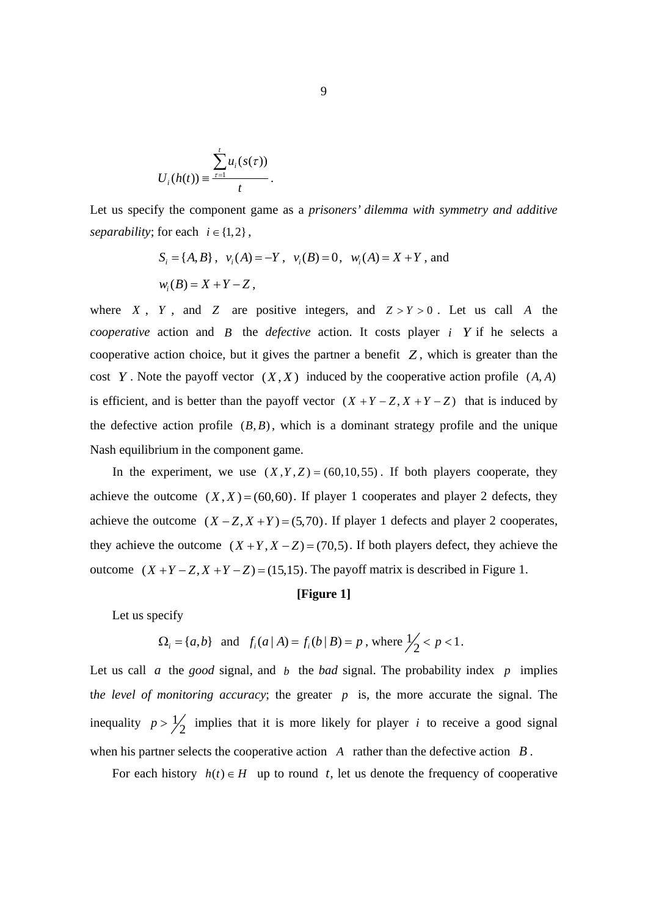$$
U_i(h(t)) \equiv \frac{\sum_{\tau=1}^t u_i(s(\tau))}{t}.
$$

Let us specify the component game as a *prisoners' dilemma with symmetry and additive separability*; for each  $i \in \{1,2\}$ ,

$$
S_i = \{A, B\}
$$
,  $v_i(A) = -Y$ ,  $v_i(B) = 0$ ,  $w_i(A) = X + Y$ , and  
 $w_i(B) = X + Y - Z$ ,

where *X*, *Y*, and *Z* are positive integers, and  $Z > Y > 0$ . Let us call *A* the *cooperative* action and *B* the *defective* action. It costs player *i Y* if he selects a cooperative action choice, but it gives the partner a benefit  $Z$ , which is greater than the cost *Y*. Note the payoff vector  $(X, X)$  induced by the cooperative action profile  $(A, A)$ is efficient, and is better than the payoff vector  $(X + Y - Z, X + Y - Z)$  that is induced by the defective action profile  $(B, B)$ , which is a dominant strategy profile and the unique Nash equilibrium in the component game.

In the experiment, we use  $(X, Y, Z) = (60, 10, 55)$ . If both players cooperate, they achieve the outcome  $(X, X) = (60, 60)$ . If player 1 cooperates and player 2 defects, they achieve the outcome  $(X - Z, X + Y) = (5,70)$ . If player 1 defects and player 2 cooperates, they achieve the outcome  $(X + Y, X - Z) = (70, 5)$ . If both players defect, they achieve the outcome  $(X + Y - Z, X + Y - Z) = (15,15)$ . The payoff matrix is described in Figure 1.

#### **[Figure 1]**

Let us specify

$$
\Omega_i = \{a, b\}
$$
 and  $f_i(a | A) = f_i(b | B) = p$ , where  $\frac{1}{2} < p < 1$ .

Let us call *a* the *good* signal, and *b* the *bad* signal. The probability index *p* implies the level of monitoring accuracy; the greater  $p$  is, the more accurate the signal. The inequality  $p > \frac{1}{2}$  implies that it is more likely for player *i* to receive a good signal when his partner selects the cooperative action *A* rather than the defective action *B* .

For each history  $h(t) \in H$  up to round t, let us denote the frequency of cooperative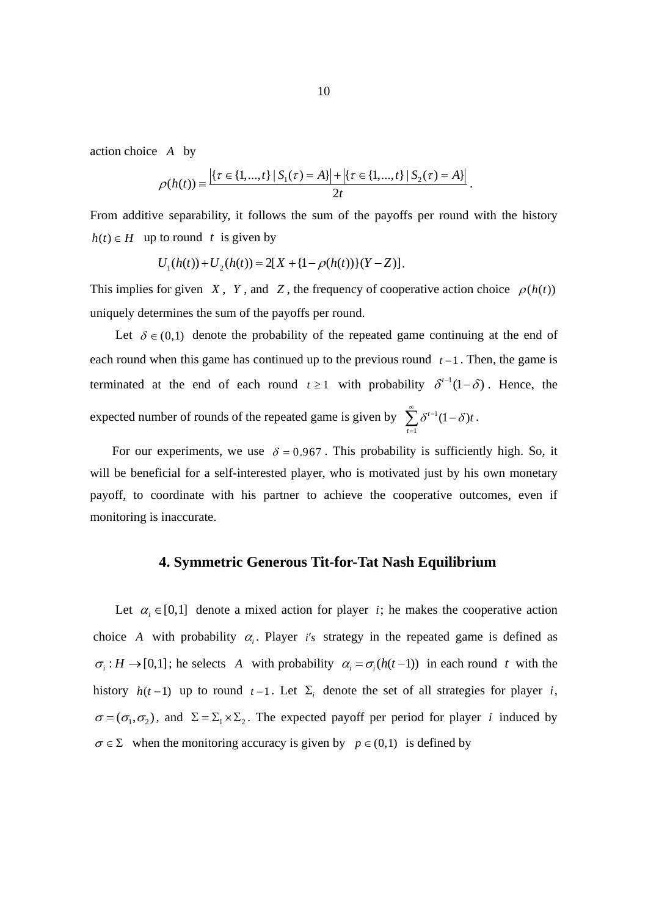action choice *A* by

$$
\rho(h(t)) \equiv \frac{\left| \left\{ \tau \in \{1, ..., t\} \mid S_1(\tau) = A \right\} \right| + \left| \left\{ \tau \in \{1, ..., t\} \mid S_2(\tau) = A \right\} \right|}{2t}.
$$

From additive separability, it follows the sum of the payoffs per round with the history  $h(t) \in H$  up to round *t* is given by

$$
U_1(h(t)) + U_2(h(t)) = 2[X + {1 - \rho(h(t))}(Y - Z)].
$$

This implies for given *X*, *Y*, and *Z*, the frequency of cooperative action choice  $\rho(h(t))$ uniquely determines the sum of the payoffs per round.

Let  $\delta \in (0,1)$  denote the probability of the repeated game continuing at the end of each round when this game has continued up to the previous round  $t-1$ . Then, the game is terminated at the end of each round  $t \ge 1$  with probability  $\delta^{t-1}(1-\delta)$ . Hence, the expected number of rounds of the repeated game is given by  $\sum \delta^{t-1}$ 1  $t^{-1}(1-\delta)$ *t*  $\sum_{l=1}^{\infty} \delta^{t-l} (1-\delta)t$  $\sum_{t=1} \delta^{t-1} (1-\delta)t.$ 

For our experiments, we use  $\delta = 0.967$ . This probability is sufficiently high. So, it will be beneficial for a self-interested player, who is motivated just by his own monetary payoff, to coordinate with his partner to achieve the cooperative outcomes, even if monitoring is inaccurate.

## **4. Symmetric Generous Tit-for-Tat Nash Equilibrium**

Let  $\alpha_i \in [0,1]$  denote a mixed action for player *i*; he makes the cooperative action choice *A* with probability  $\alpha$ . Player *i's* strategy in the repeated game is defined as  $\sigma_i : H \to [0,1]$ ; he selects A with probability  $\alpha_i = \sigma_i(h(t-1))$  in each round t with the history  $h(t-1)$  up to round  $t-1$ . Let  $\Sigma_i$  denote the set of all strategies for player *i*,  $\sigma = (\sigma_1, \sigma_2)$ , and  $\Sigma = \Sigma_1 \times \Sigma_2$ . The expected payoff per period for player *i* induced by  $\sigma \in \Sigma$  when the monitoring accuracy is given by  $p \in (0,1)$  is defined by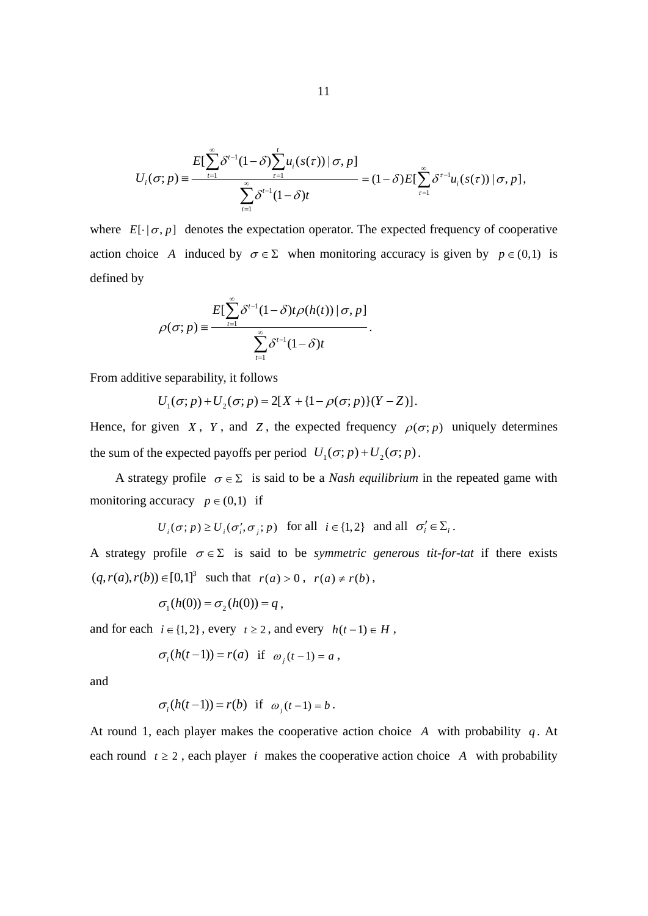$$
U_i(\sigma;p) = \frac{E[\sum_{t=1}^{\infty} \delta^{t-1}(1-\delta)\sum_{\tau=1}^t u_i(s(\tau)) | \sigma, p]}{\sum_{t=1}^{\infty} \delta^{t-1}(1-\delta)t} = (1-\delta)E[\sum_{\tau=1}^{\infty} \delta^{\tau-1} u_i(s(\tau)) | \sigma, p],
$$

where  $E[\cdot | \sigma, p]$  denotes the expectation operator. The expected frequency of cooperative action choice *A* induced by  $\sigma \in \Sigma$  when monitoring accuracy is given by  $p \in (0,1)$  is defined by

$$
\rho(\sigma;p) = \frac{E[\sum_{t=1}^{\infty} \delta^{t-1}(1-\delta)t\rho(h(t)) | \sigma, p]}{\sum_{t=1}^{\infty} \delta^{t-1}(1-\delta)t}.
$$

From additive separability, it follows

$$
U_1(\sigma; p) + U_2(\sigma; p) = 2[X + \{1 - \rho(\sigma; p)\}(Y - Z)].
$$

Hence, for given *X*, *Y*, and *Z*, the expected frequency  $\rho(\sigma; p)$  uniquely determines the sum of the expected payoffs per period  $U_1(\sigma; p) + U_2(\sigma; p)$ .

A strategy profile  $\sigma \in \Sigma$  is said to be a *Nash equilibrium* in the repeated game with monitoring accuracy  $p \in (0,1)$  if

$$
U_i(\sigma; p) \ge U_i(\sigma'_i, \sigma_j; p) \quad \text{for all} \quad i \in \{1, 2\} \quad \text{and all} \quad \sigma'_i \in \Sigma_i \, .
$$

A strategy profile  $\sigma \in \Sigma$  is said to be *symmetric generous tit-for-tat* if there exists  $(q, r(a), r(b)) \in [0,1]^3$  such that  $r(a) > 0$ ,  $r(a) \neq r(b)$ ,

$$
\sigma_1(h(0)) = \sigma_2(h(0)) = q,
$$

and for each  $i \in \{1, 2\}$ , every  $t \ge 2$ , and every  $h(t-1) \in H$ ,

$$
\sigma_i(h(t-1)) = r(a) \text{ if } \omega_j(t-1) = a,
$$

and

$$
\sigma_i(h(t-1)) = r(b) \text{ if } \omega_j(t-1) = b.
$$

At round 1, each player makes the cooperative action choice  $A$  with probability  $q$ . At each round  $t \geq 2$ , each player *i* makes the cooperative action choice *A* with probability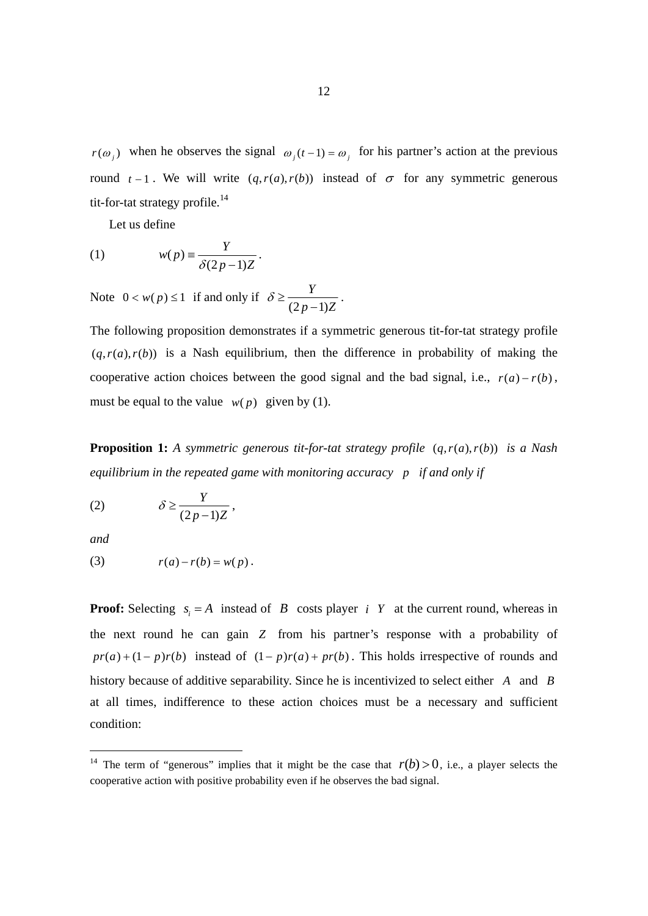$r(\omega_j)$  when he observes the signal  $\omega_j(t-1) = \omega_j$  for his partner's action at the previous round  $t-1$ . We will write  $(q, r(a), r(b))$  instead of  $\sigma$  for any symmetric generous tit-for-tat strategy profile. $^{14}$ 

Let us define

(1) 
$$
w(p) = \frac{Y}{\delta(2p-1)Z}.
$$

Note  $0 < w(p) \le 1$  if and only if  $\delta \ge \frac{Y}{(2p-1)}$  $\delta \geq \frac{1}{(2p-1)Z}$ .

The following proposition demonstrates if a symmetric generous tit-for-tat strategy profile  $(q, r(a), r(b))$  is a Nash equilibrium, then the difference in probability of making the cooperative action choices between the good signal and the bad signal, i.e.,  $r(a) - r(b)$ , must be equal to the value  $w(p)$  given by (1).

**Proposition 1:** A symmetric generous tit-for-tat strategy profile  $(q, r(a), r(b))$  is a Nash *equilibrium in the repeated game with monitoring accuracy p if and only if* 

(2) (2 1) *Y p Z* ,

*and* 

-

$$
(3) \t\t r(a)-r(b)=w(p).
$$

**Proof:** Selecting  $s_i = A$  instead of *B* costs player *i Y* at the current round, whereas in the next round he can gain *Z* from his partner's response with a probability of  $pr(a)+(1-p)r(b)$  instead of  $(1-p)r(a)+pr(b)$ . This holds irrespective of rounds and history because of additive separability. Since he is incentivized to select either *A* and *B* at all times, indifference to these action choices must be a necessary and sufficient condition:

<sup>&</sup>lt;sup>14</sup> The term of "generous" implies that it might be the case that  $r(b) > 0$ , i.e., a player selects the cooperative action with positive probability even if he observes the bad signal.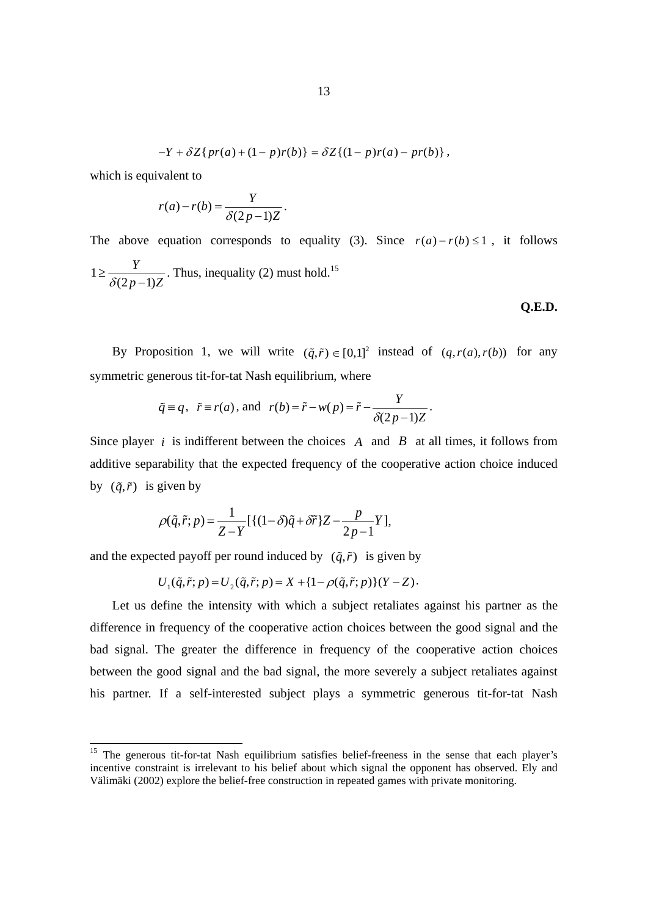$$
-Y + \delta Z\{pr(a) + (1-p)r(b)\} = \delta Z\{(1-p)r(a) - pr(b)\},
$$

which is equivalent to

-

$$
r(a)-r(b)=\frac{Y}{\delta(2p-1)Z}.
$$

The above equation corresponds to equality (3). Since  $r(a) - r(b) \le 1$ , it follows 1  $(2p-1)$ *Y*  $\geq \frac{I}{\delta(2p-1)Z}$ . Thus, inequality (2) must hold.<sup>15</sup>

#### **Q.E.D.**

By Proposition 1, we will write  $(\tilde{q}, \tilde{r}) \in [0,1]^2$  instead of  $(q, r(a), r(b))$  for any symmetric generous tit-for-tat Nash equilibrium, where

$$
\tilde{q} \equiv q, \quad \tilde{r} \equiv r(a), \text{ and } r(b) = \tilde{r} - w(p) = \tilde{r} - \frac{Y}{\delta(2p-1)Z}.
$$

Since player *i* is indifferent between the choices *A* and *B* at all times, it follows from additive separability that the expected frequency of the cooperative action choice induced by  $(\tilde{q}, \tilde{r})$  is given by

$$
\rho(\tilde{q}, \tilde{r}; p) = \frac{1}{Z - Y} [\{(1 - \delta)\tilde{q} + \delta\tilde{r}\} Z - \frac{p}{2p - 1} Y],
$$

and the expected payoff per round induced by  $(\tilde{q}, \tilde{r})$  is given by

$$
U_1(\tilde{q}, \tilde{r}; p) = U_2(\tilde{q}, \tilde{r}; p) = X + \{1 - \rho(\tilde{q}, \tilde{r}; p)\}(Y - Z).
$$

Let us define the intensity with which a subject retaliates against his partner as the difference in frequency of the cooperative action choices between the good signal and the bad signal. The greater the difference in frequency of the cooperative action choices between the good signal and the bad signal, the more severely a subject retaliates against his partner. If a self-interested subject plays a symmetric generous tit-for-tat Nash

<sup>&</sup>lt;sup>15</sup> The generous tit-for-tat Nash equilibrium satisfies belief-freeness in the sense that each player's incentive constraint is irrelevant to his belief about which signal the opponent has observed. Ely and Välimäki (2002) explore the belief-free construction in repeated games with private monitoring.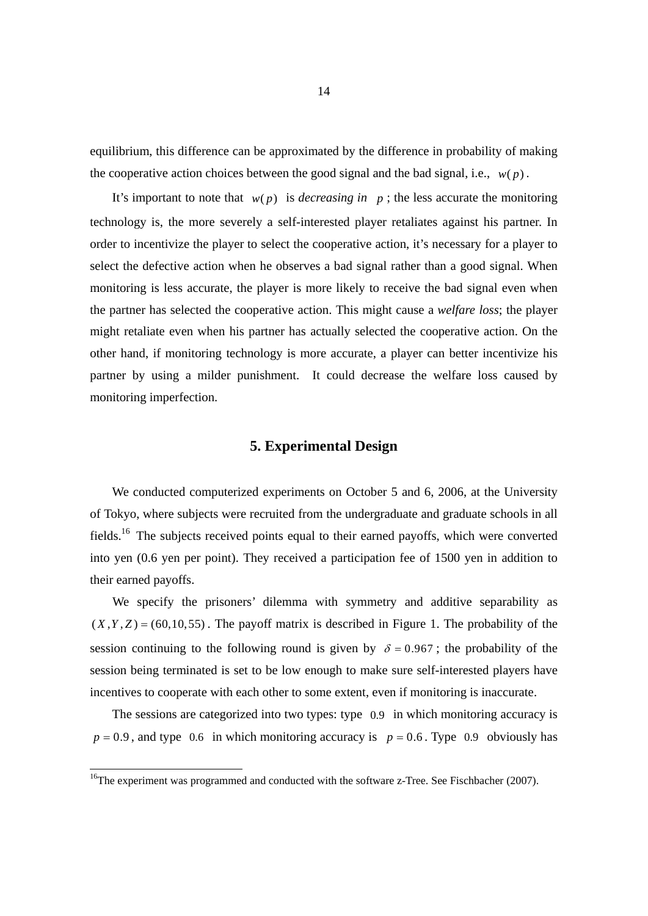equilibrium, this difference can be approximated by the difference in probability of making the cooperative action choices between the good signal and the bad signal, i.e.,  $w(p)$ .

It's important to note that  $w(p)$  is *decreasing in* p; the less accurate the monitoring technology is, the more severely a self-interested player retaliates against his partner. In order to incentivize the player to select the cooperative action, it's necessary for a player to select the defective action when he observes a bad signal rather than a good signal. When monitoring is less accurate, the player is more likely to receive the bad signal even when the partner has selected the cooperative action. This might cause a *welfare loss*; the player might retaliate even when his partner has actually selected the cooperative action. On the other hand, if monitoring technology is more accurate, a player can better incentivize his partner by using a milder punishment. It could decrease the welfare loss caused by monitoring imperfection.

## **5. Experimental Design**

 We conducted computerized experiments on October 5 and 6, 2006, at the University of Tokyo, where subjects were recruited from the undergraduate and graduate schools in all fields.16 The subjects received points equal to their earned payoffs, which were converted into yen (0.6 yen per point). They received a participation fee of 1500 yen in addition to their earned payoffs.

We specify the prisoners' dilemma with symmetry and additive separability as  $(X, Y, Z) = (60, 10, 55)$ . The payoff matrix is described in Figure 1. The probability of the session continuing to the following round is given by  $\delta = 0.967$ ; the probability of the session being terminated is set to be low enough to make sure self-interested players have incentives to cooperate with each other to some extent, even if monitoring is inaccurate.

The sessions are categorized into two types: type 0.9 in which monitoring accuracy is  $p = 0.9$ , and type 0.6 in which monitoring accuracy is  $p = 0.6$ . Type 0.9 obviously has

 $\overline{a}$ 

 $16$ The experiment was programmed and conducted with the software z-Tree. See Fischbacher (2007).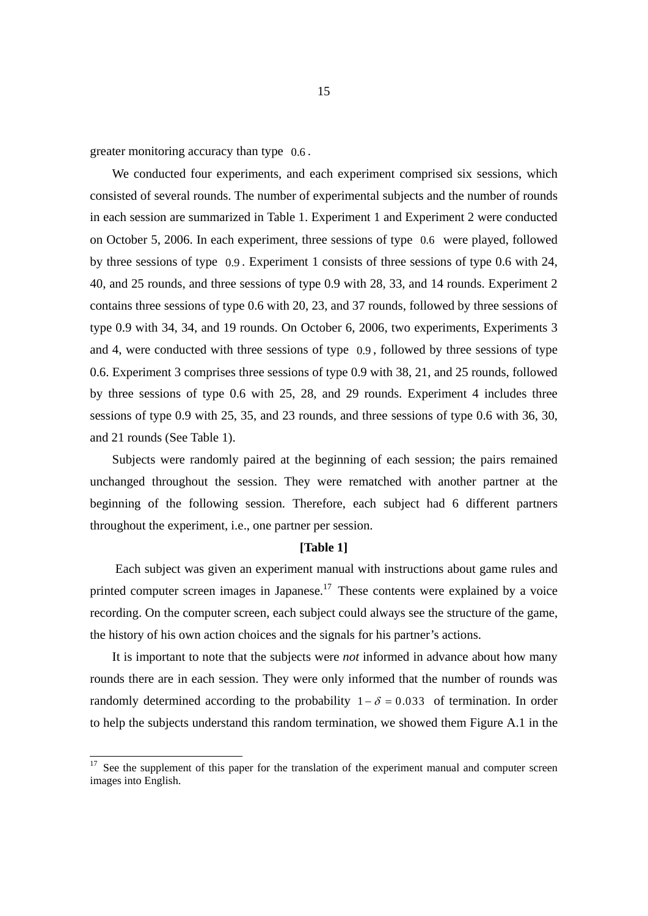greater monitoring accuracy than type 0.6 .

-

We conducted four experiments, and each experiment comprised six sessions, which consisted of several rounds. The number of experimental subjects and the number of rounds in each session are summarized in Table 1. Experiment 1 and Experiment 2 were conducted on October 5, 2006. In each experiment, three sessions of type 0.6 were played, followed by three sessions of type 0.9 . Experiment 1 consists of three sessions of type 0.6 with 24, 40, and 25 rounds, and three sessions of type 0.9 with 28, 33, and 14 rounds. Experiment 2 contains three sessions of type 0.6 with 20, 23, and 37 rounds, followed by three sessions of type 0.9 with 34, 34, and 19 rounds. On October 6, 2006, two experiments, Experiments 3 and 4, were conducted with three sessions of type 0.9 , followed by three sessions of type 0.6. Experiment 3 comprises three sessions of type 0.9 with 38, 21, and 25 rounds, followed by three sessions of type 0.6 with 25, 28, and 29 rounds. Experiment 4 includes three sessions of type 0.9 with 25, 35, and 23 rounds, and three sessions of type 0.6 with 36, 30, and 21 rounds (See Table 1).

Subjects were randomly paired at the beginning of each session; the pairs remained unchanged throughout the session. They were rematched with another partner at the beginning of the following session. Therefore, each subject had 6 different partners throughout the experiment, i.e., one partner per session.

#### **[Table 1]**

Each subject was given an experiment manual with instructions about game rules and printed computer screen images in Japanese.<sup>17</sup> These contents were explained by a voice recording. On the computer screen, each subject could always see the structure of the game, the history of his own action choices and the signals for his partner's actions.

It is important to note that the subjects were *not* informed in advance about how many rounds there are in each session. They were only informed that the number of rounds was randomly determined according to the probability  $1 - \delta = 0.033$  of termination. In order to help the subjects understand this random termination, we showed them Figure A.1 in the

See the supplement of this paper for the translation of the experiment manual and computer screen images into English.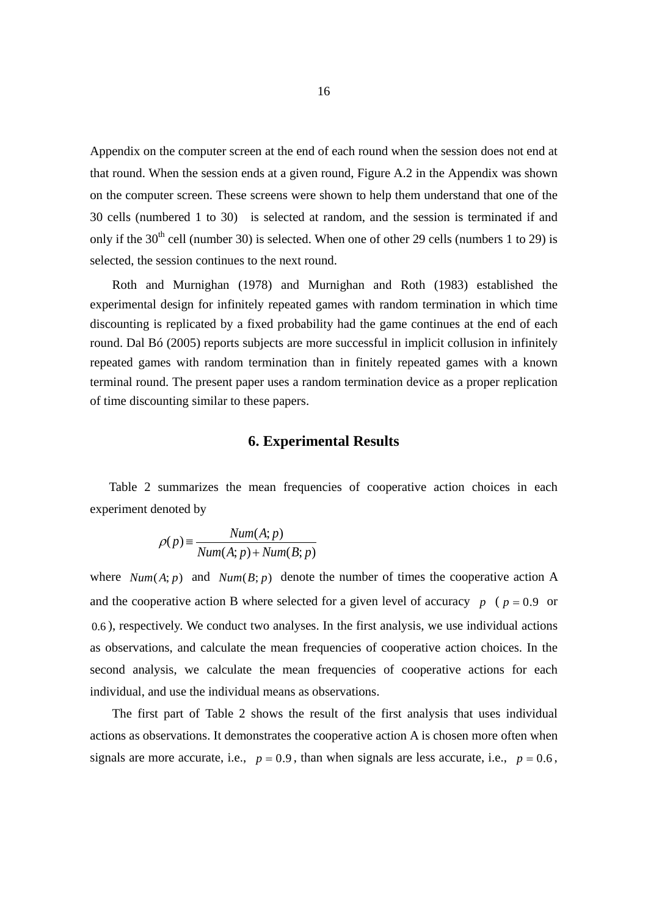Appendix on the computer screen at the end of each round when the session does not end at that round. When the session ends at a given round, Figure A.2 in the Appendix was shown on the computer screen. These screens were shown to help them understand that one of the 30 cells (numbered 1 to 30) is selected at random, and the session is terminated if and only if the  $30<sup>th</sup>$  cell (number 30) is selected. When one of other 29 cells (numbers 1 to 29) is selected, the session continues to the next round.

Roth and Murnighan (1978) and Murnighan and Roth (1983) established the experimental design for infinitely repeated games with random termination in which time discounting is replicated by a fixed probability had the game continues at the end of each round. Dal Bó (2005) reports subjects are more successful in implicit collusion in infinitely repeated games with random termination than in finitely repeated games with a known terminal round. The present paper uses a random termination device as a proper replication of time discounting similar to these papers.

### **6. Experimental Results**

Table 2 summarizes the mean frequencies of cooperative action choices in each experiment denoted by

$$
\rho(p) \equiv \frac{Num(A; p)}{Num(A; p) + Num(B; p)}
$$

where  $Num(A; p)$  and  $Num(B; p)$  denote the number of times the cooperative action A and the cooperative action B where selected for a given level of accuracy  $p ( p = 0.9 \text{ or } 0.9 \text{ or } 0.9 \text{ or } 0.9 \text{ or } 0.9 \text{ or } 0.9 \text{ or } 0.9 \text{ or } 0.9 \text{ or } 0.9 \text{ or } 0.9 \text{ or } 0.9 \text{ or } 0.9 \text{ or } 0.9 \text{ or } 0.9 \text{ or } 0.9 \text{ or } 0.9 \text{$ 0.6 ), respectively. We conduct two analyses. In the first analysis, we use individual actions as observations, and calculate the mean frequencies of cooperative action choices. In the second analysis, we calculate the mean frequencies of cooperative actions for each individual, and use the individual means as observations.

 The first part of Table 2 shows the result of the first analysis that uses individual actions as observations. It demonstrates the cooperative action A is chosen more often when signals are more accurate, i.e.,  $p = 0.9$ , than when signals are less accurate, i.e.,  $p = 0.6$ ,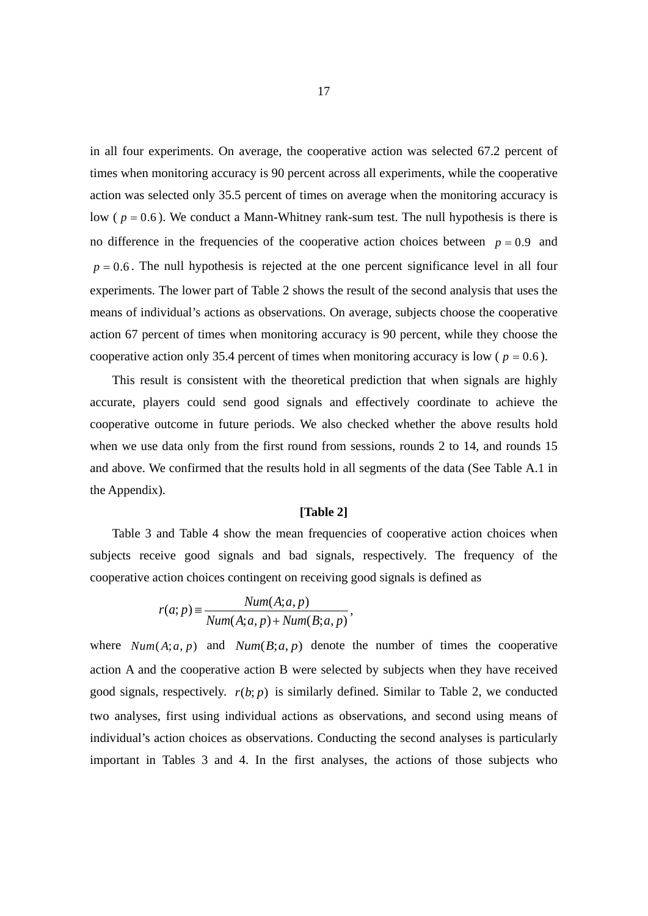in all four experiments. On average, the cooperative action was selected 67.2 percent of times when monitoring accuracy is 90 percent across all experiments, while the cooperative action was selected only 35.5 percent of times on average when the monitoring accuracy is low ( $p = 0.6$ ). We conduct a Mann-Whitney rank-sum test. The null hypothesis is there is no difference in the frequencies of the cooperative action choices between  $p = 0.9$  and  $p = 0.6$ . The null hypothesis is rejected at the one percent significance level in all four experiments. The lower part of Table 2 shows the result of the second analysis that uses the means of individual's actions as observations. On average, subjects choose the cooperative action 67 percent of times when monitoring accuracy is 90 percent, while they choose the cooperative action only 35.4 percent of times when monitoring accuracy is low ( $p = 0.6$ ).

 This result is consistent with the theoretical prediction that when signals are highly accurate, players could send good signals and effectively coordinate to achieve the cooperative outcome in future periods. We also checked whether the above results hold when we use data only from the first round from sessions, rounds 2 to 14, and rounds 15 and above. We confirmed that the results hold in all segments of the data (See Table A.1 in the Appendix).

#### **[Table 2]**

Table 3 and Table 4 show the mean frequencies of cooperative action choices when subjects receive good signals and bad signals, respectively. The frequency of the cooperative action choices contingent on receiving good signals is defined as

$$
r(a;p) \equiv \frac{Num(A;a,p)}{Num(A;a,p) + Num(B;a,p)},
$$

where  $Num(A; a, p)$  and  $Num(B; a, p)$  denote the number of times the cooperative action A and the cooperative action B were selected by subjects when they have received good signals, respectively.  $r(b; p)$  is similarly defined. Similar to Table 2, we conducted two analyses, first using individual actions as observations, and second using means of individual's action choices as observations. Conducting the second analyses is particularly important in Tables 3 and 4. In the first analyses, the actions of those subjects who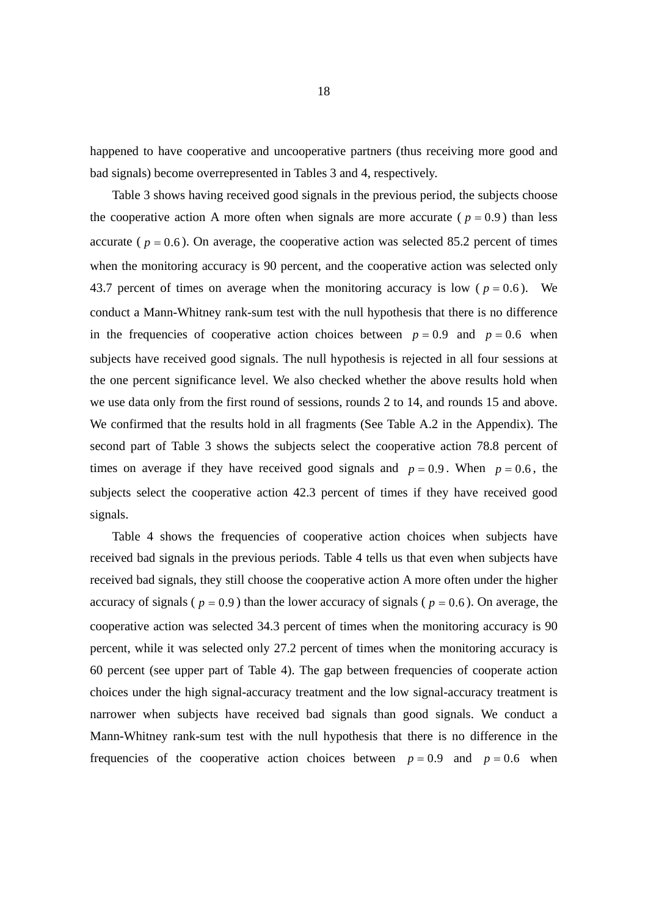happened to have cooperative and uncooperative partners (thus receiving more good and bad signals) become overrepresented in Tables 3 and 4, respectively.

Table 3 shows having received good signals in the previous period, the subjects choose the cooperative action A more often when signals are more accurate ( $p = 0.9$ ) than less accurate ( $p = 0.6$ ). On average, the cooperative action was selected 85.2 percent of times when the monitoring accuracy is 90 percent, and the cooperative action was selected only 43.7 percent of times on average when the monitoring accuracy is low ( $p = 0.6$ ). We conduct a Mann-Whitney rank-sum test with the null hypothesis that there is no difference in the frequencies of cooperative action choices between  $p = 0.9$  and  $p = 0.6$  when subjects have received good signals. The null hypothesis is rejected in all four sessions at the one percent significance level. We also checked whether the above results hold when we use data only from the first round of sessions, rounds 2 to 14, and rounds 15 and above. We confirmed that the results hold in all fragments (See Table A.2 in the Appendix). The second part of Table 3 shows the subjects select the cooperative action 78.8 percent of times on average if they have received good signals and  $p = 0.9$ . When  $p = 0.6$ , the subjects select the cooperative action 42.3 percent of times if they have received good signals.

Table 4 shows the frequencies of cooperative action choices when subjects have received bad signals in the previous periods. Table 4 tells us that even when subjects have received bad signals, they still choose the cooperative action A more often under the higher accuracy of signals ( $p = 0.9$ ) than the lower accuracy of signals ( $p = 0.6$ ). On average, the cooperative action was selected 34.3 percent of times when the monitoring accuracy is 90 percent, while it was selected only 27.2 percent of times when the monitoring accuracy is 60 percent (see upper part of Table 4). The gap between frequencies of cooperate action choices under the high signal-accuracy treatment and the low signal-accuracy treatment is narrower when subjects have received bad signals than good signals. We conduct a Mann-Whitney rank-sum test with the null hypothesis that there is no difference in the frequencies of the cooperative action choices between  $p = 0.9$  and  $p = 0.6$  when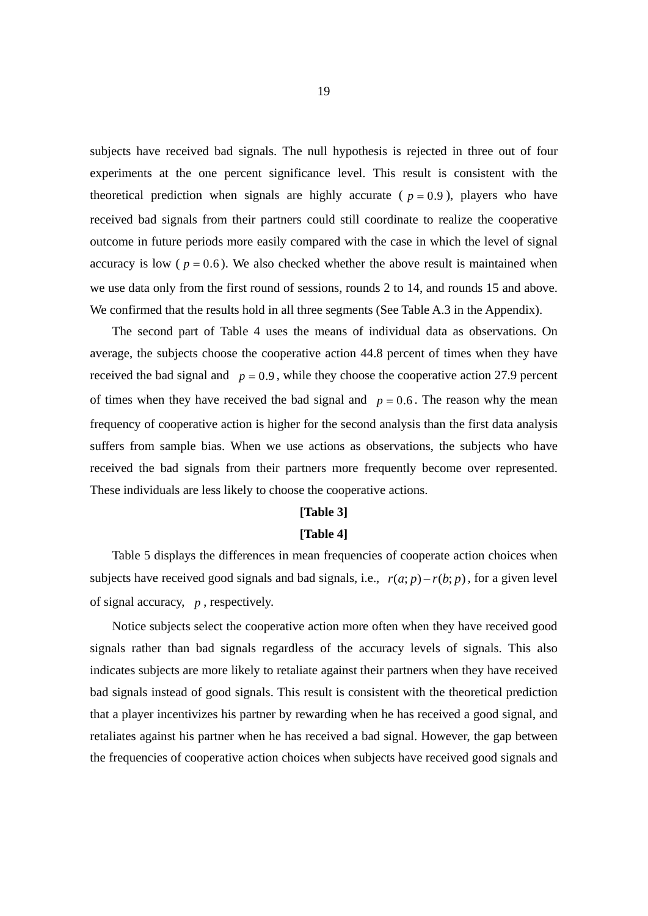subjects have received bad signals. The null hypothesis is rejected in three out of four experiments at the one percent significance level. This result is consistent with the theoretical prediction when signals are highly accurate ( $p = 0.9$ ), players who have received bad signals from their partners could still coordinate to realize the cooperative outcome in future periods more easily compared with the case in which the level of signal accuracy is low ( $p = 0.6$ ). We also checked whether the above result is maintained when we use data only from the first round of sessions, rounds 2 to 14, and rounds 15 and above. We confirmed that the results hold in all three segments (See Table A.3 in the Appendix).

 The second part of Table 4 uses the means of individual data as observations. On average, the subjects choose the cooperative action 44.8 percent of times when they have received the bad signal and  $p = 0.9$ , while they choose the cooperative action 27.9 percent of times when they have received the bad signal and  $p = 0.6$ . The reason why the mean frequency of cooperative action is higher for the second analysis than the first data analysis suffers from sample bias. When we use actions as observations, the subjects who have received the bad signals from their partners more frequently become over represented. These individuals are less likely to choose the cooperative actions.

#### **[Table 3]**

#### **[Table 4]**

Table 5 displays the differences in mean frequencies of cooperate action choices when subjects have received good signals and bad signals, i.e.,  $r(a; p) - r(b; p)$ , for a given level of signal accuracy, *p* , respectively.

Notice subjects select the cooperative action more often when they have received good signals rather than bad signals regardless of the accuracy levels of signals. This also indicates subjects are more likely to retaliate against their partners when they have received bad signals instead of good signals. This result is consistent with the theoretical prediction that a player incentivizes his partner by rewarding when he has received a good signal, and retaliates against his partner when he has received a bad signal. However, the gap between the frequencies of cooperative action choices when subjects have received good signals and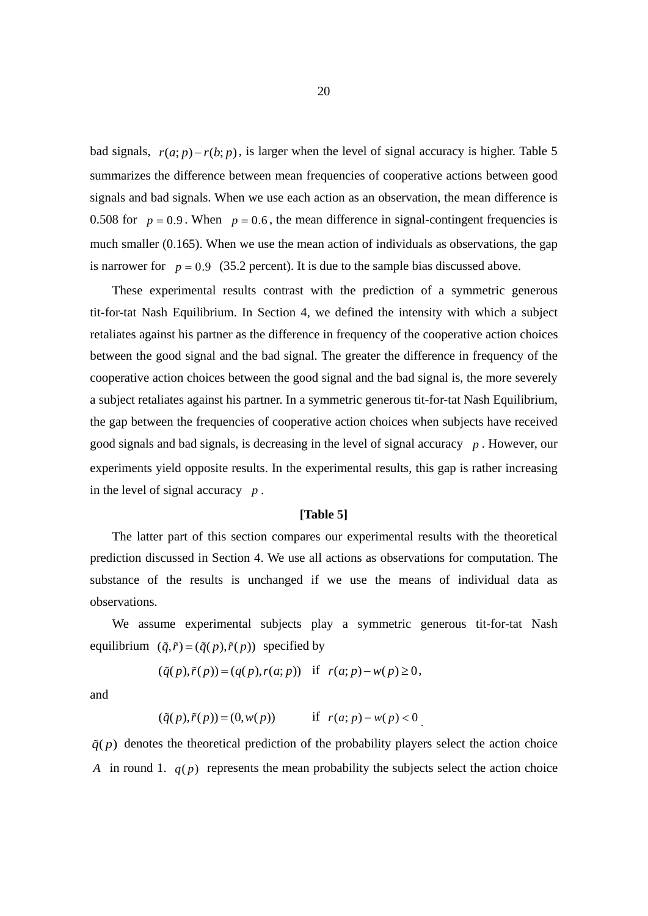bad signals,  $r(a; p) - r(b; p)$ , is larger when the level of signal accuracy is higher. Table 5 summarizes the difference between mean frequencies of cooperative actions between good signals and bad signals. When we use each action as an observation, the mean difference is 0.508 for  $p = 0.9$ . When  $p = 0.6$ , the mean difference in signal-contingent frequencies is much smaller (0.165). When we use the mean action of individuals as observations, the gap is narrower for  $p = 0.9$  (35.2 percent). It is due to the sample bias discussed above.

These experimental results contrast with the prediction of a symmetric generous tit-for-tat Nash Equilibrium. In Section 4, we defined the intensity with which a subject retaliates against his partner as the difference in frequency of the cooperative action choices between the good signal and the bad signal. The greater the difference in frequency of the cooperative action choices between the good signal and the bad signal is, the more severely a subject retaliates against his partner. In a symmetric generous tit-for-tat Nash Equilibrium, the gap between the frequencies of cooperative action choices when subjects have received good signals and bad signals, is decreasing in the level of signal accuracy *p* . However, our experiments yield opposite results. In the experimental results, this gap is rather increasing in the level of signal accuracy *p* .

#### **[Table 5]**

 The latter part of this section compares our experimental results with the theoretical prediction discussed in Section 4. We use all actions as observations for computation. The substance of the results is unchanged if we use the means of individual data as observations.

 We assume experimental subjects play a symmetric generous tit-for-tat Nash equilibrium  $(\tilde{q}, \tilde{r}) = (\tilde{q}(p), \tilde{r}(p))$  specified by

$$
(\tilde{q}(p), \tilde{r}(p)) = (q(p), r(a; p)) \quad \text{if} \quad r(a; p) - w(p) \ge 0,
$$

and

$$
(\tilde{q}(p), \tilde{r}(p)) = (0, w(p))
$$
 if  $r(a; p) - w(p) < 0$ .

 $q(\rho)$  denotes the theoretical prediction of the probability players select the action choice *A* in round 1.  $q(p)$  represents the mean probability the subjects select the action choice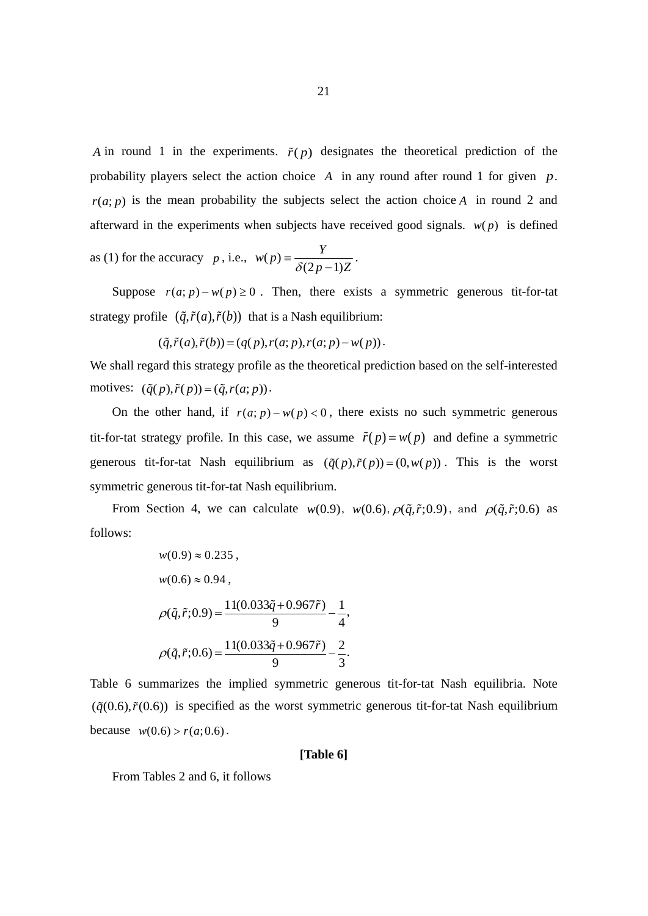*A* in round 1 in the experiments.  $\tilde{r}(p)$  designates the theoretical prediction of the probability players select the action choice *A* in any round after round 1 for given *p*.  $r(a; p)$  is the mean probability the subjects select the action choice *A* in round 2 and afterward in the experiments when subjects have received good signals.  $w(p)$  is defined

as (1) for the accuracy *p*, i.e.,  $w(p) = \frac{Y}{\delta(2p-1)Z}$ .

Suppose  $r(a; p) - w(p) \ge 0$ . Then, there exists a symmetric generous tit-for-tat strategy profile  $(\tilde{q}, \tilde{r}(a), \tilde{r}(b))$  that is a Nash equilibrium:

$$
(\tilde{q}, \tilde{r}(a), \tilde{r}(b)) = (q(p), r(a; p), r(a; p) - w(p)).
$$

We shall regard this strategy profile as the theoretical prediction based on the self-interested motives:  $(\tilde{q}(p), \tilde{r}(p)) = (\tilde{q}, r(a; p)).$ 

On the other hand, if  $r(a; p) - w(p) < 0$ , there exists no such symmetric generous tit-for-tat strategy profile. In this case, we assume  $\tilde{r}(p) = w(p)$  and define a symmetric generous tit-for-tat Nash equilibrium as  $(\tilde{q}(p), \tilde{r}(p)) = (0, w(p))$ . This is the worst symmetric generous tit-for-tat Nash equilibrium.

From Section 4, we can calculate  $w(0.9)$ ,  $w(0.6)$ ,  $\rho(\tilde{q}, \tilde{r}; 0.9)$ , and  $\rho(\tilde{q}, \tilde{r}; 0.6)$  as follows:

$$
w(0.9) \approx 0.235,
$$
  
\n
$$
w(0.6) \approx 0.94,
$$
  
\n
$$
\rho(\tilde{q}, \tilde{r}; 0.9) = \frac{11(0.033\tilde{q} + 0.967\tilde{r})}{9} - \frac{1}{4},
$$
  
\n
$$
\rho(\tilde{q}, \tilde{r}; 0.6) = \frac{11(0.033\tilde{q} + 0.967\tilde{r})}{9} - \frac{2}{3}.
$$

Table 6 summarizes the implied symmetric generous tit-for-tat Nash equilibria. Note  $(\tilde{q}(0.6), \tilde{r}(0.6))$  is specified as the worst symmetric generous tit-for-tat Nash equilibrium because  $w(0.6) > r(a;0.6)$ .

#### **[Table 6]**

From Tables 2 and 6, it follows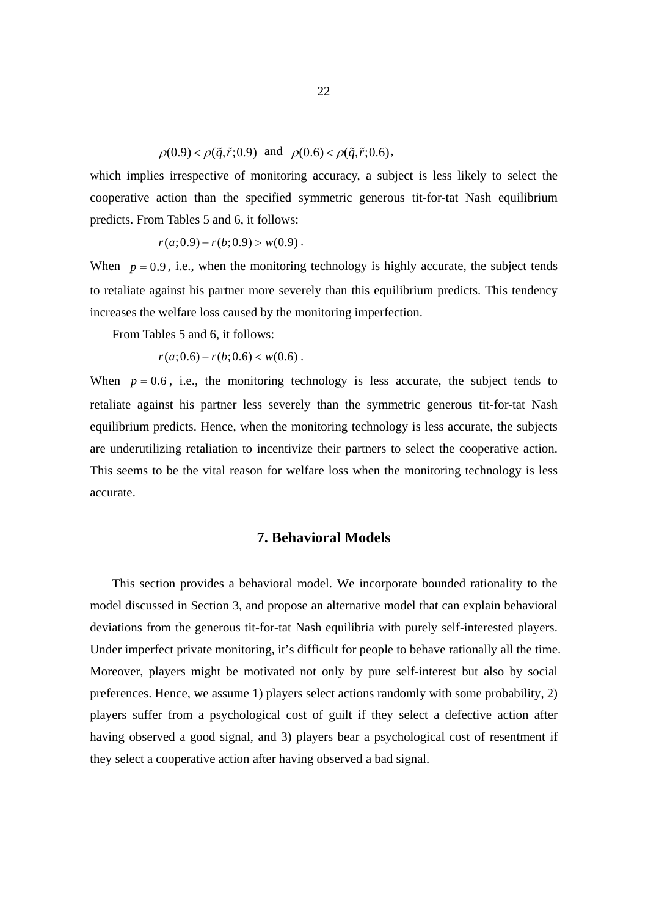$\rho(0.9) < \rho(\tilde{q}, \tilde{r}; 0.9)$  and  $\rho(0.6) < \rho(\tilde{q}, \tilde{r}; 0.6)$ ,

which implies irrespective of monitoring accuracy, a subject is less likely to select the cooperative action than the specified symmetric generous tit-for-tat Nash equilibrium predicts. From Tables 5 and 6, it follows:

$$
r(a;0.9) - r(b;0.9) > w(0.9) \, .
$$

When  $p = 0.9$ , i.e., when the monitoring technology is highly accurate, the subject tends to retaliate against his partner more severely than this equilibrium predicts. This tendency increases the welfare loss caused by the monitoring imperfection.

From Tables 5 and 6, it follows:

 $r(a;0.6) - r(b;0.6) < w(0.6)$ .

When  $p = 0.6$ , i.e., the monitoring technology is less accurate, the subject tends to retaliate against his partner less severely than the symmetric generous tit-for-tat Nash equilibrium predicts. Hence, when the monitoring technology is less accurate, the subjects are underutilizing retaliation to incentivize their partners to select the cooperative action. This seems to be the vital reason for welfare loss when the monitoring technology is less accurate.

## **7. Behavioral Models**

This section provides a behavioral model. We incorporate bounded rationality to the model discussed in Section 3, and propose an alternative model that can explain behavioral deviations from the generous tit-for-tat Nash equilibria with purely self-interested players. Under imperfect private monitoring, it's difficult for people to behave rationally all the time. Moreover, players might be motivated not only by pure self-interest but also by social preferences. Hence, we assume 1) players select actions randomly with some probability, 2) players suffer from a psychological cost of guilt if they select a defective action after having observed a good signal, and 3) players bear a psychological cost of resentment if they select a cooperative action after having observed a bad signal.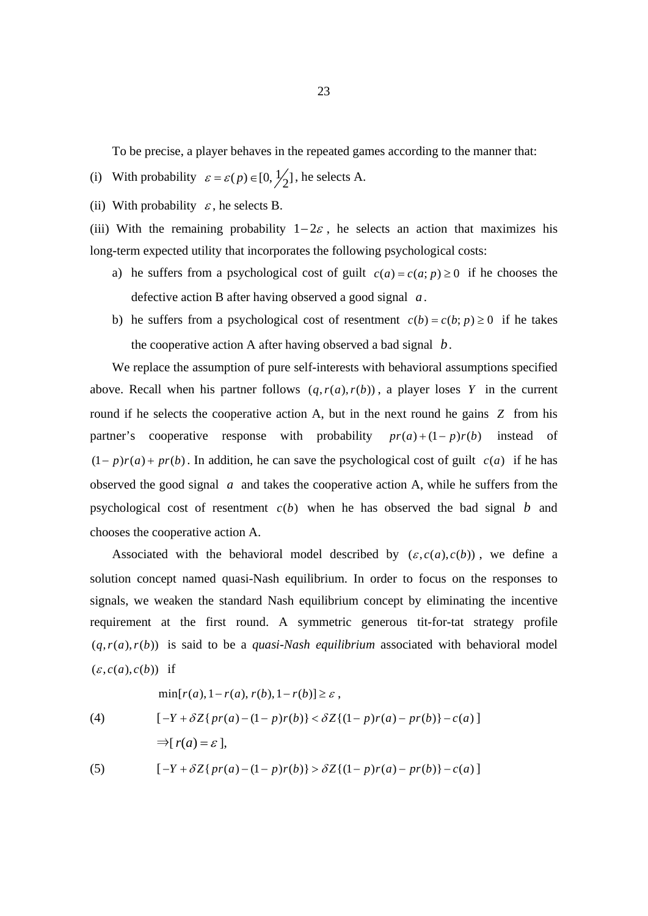To be precise, a player behaves in the repeated games according to the manner that:

- (i) With probability  $\varepsilon = \varepsilon(p) \in [0, \frac{1}{2}]$ , he selects A.
- (ii) With probability  $\varepsilon$ , he selects B.

(iii) With the remaining probability  $1-2\varepsilon$ , he selects an action that maximizes his long-term expected utility that incorporates the following psychological costs:

- a) he suffers from a psychological cost of guilt  $c(a) = c(a; p) \ge 0$  if he chooses the defective action B after having observed a good signal *a*.
- b) he suffers from a psychological cost of resentment  $c(b) = c(b; p) \ge 0$  if he takes the cooperative action A after having observed a bad signal *b*.

We replace the assumption of pure self-interests with behavioral assumptions specified above. Recall when his partner follows  $(q, r(a), r(b))$ , a player loses *Y* in the current round if he selects the cooperative action A, but in the next round he gains *Z* from his partner's cooperative response with probability  $pr(a)+(1-p)r(b)$  instead of  $(1-p)r(a) + pr(b)$ . In addition, he can save the psychological cost of guilt  $c(a)$  if he has observed the good signal *a* and takes the cooperative action A, while he suffers from the psychological cost of resentment  $c(b)$  when he has observed the bad signal *b* and chooses the cooperative action A.

Associated with the behavioral model described by  $(\varepsilon, c(a), c(b))$ , we define a solution concept named quasi-Nash equilibrium. In order to focus on the responses to signals, we weaken the standard Nash equilibrium concept by eliminating the incentive requirement at the first round. A symmetric generous tit-for-tat strategy profile  $(q, r(a), r(b))$  is said to be a *quasi-Nash equilibrium* associated with behavioral model  $(\varepsilon, c(a), c(b))$  if

$$
\min[r(a), 1 - r(a), r(b), 1 - r(b)] \ge \varepsilon,
$$
\n
$$
[-Y + \delta Z\{pr(a) - (1 - p)r(b)\} < \delta Z\{(1 - p)r(a) - pr(b)\} - c(a)]
$$
\n
$$
\Rightarrow [r(a) = \varepsilon],
$$
\n
$$
[-Y + \delta Z\{pr(a) - (1 - p)r(b)\} > \delta Z\{(1 - p)r(a) - pr(b)\} - c(a)]
$$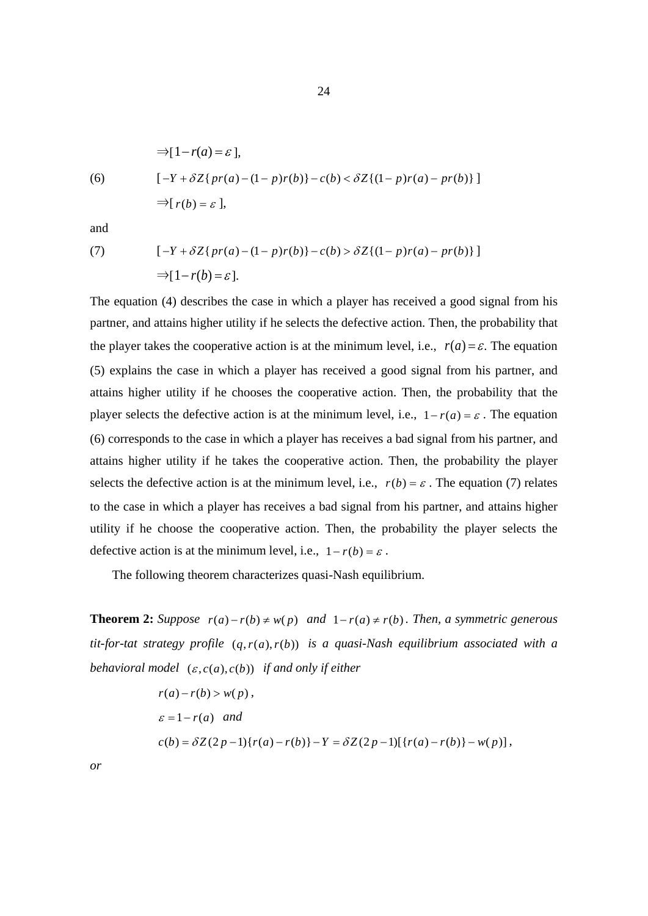$$
\Rightarrow [1 - r(a) = \varepsilon],
$$
  
(6) 
$$
[-Y + \delta Z\{pr(a) - (1 - p)r(b)\} - c(b) < \delta Z\{(1 - p)r(a) - pr(b)\}]
$$

$$
\Rightarrow [r(b) = \varepsilon],
$$

and

(7) 
$$
[-Y + \delta Z\{pr(a) - (1 - p)r(b)\} - c(b) > \delta Z\{(1 - p)r(a) - pr(b)\}] \Rightarrow [1 - r(b) = \varepsilon].
$$

The equation (4) describes the case in which a player has received a good signal from his partner, and attains higher utility if he selects the defective action. Then, the probability that the player takes the cooperative action is at the minimum level, i.e.,  $r(a) = \varepsilon$ . The equation (5) explains the case in which a player has received a good signal from his partner, and attains higher utility if he chooses the cooperative action. Then, the probability that the player selects the defective action is at the minimum level, i.e.,  $1 - r(a) = \varepsilon$ . The equation (6) corresponds to the case in which a player has receives a bad signal from his partner, and attains higher utility if he takes the cooperative action. Then, the probability the player selects the defective action is at the minimum level, i.e.,  $r(b) = \varepsilon$ . The equation (7) relates to the case in which a player has receives a bad signal from his partner, and attains higher utility if he choose the cooperative action. Then, the probability the player selects the defective action is at the minimum level, i.e.,  $1 - r(b) = \varepsilon$ .

The following theorem characterizes quasi-Nash equilibrium.

**Theorem 2:** Suppose  $r(a) - r(b) \neq w(p)$  and  $1 - r(a) \neq r(b)$ . Then, a symmetric generous  $t$ *it-for-tat strategy profile*  $(q, r(a), r(b))$  *is a quasi-Nash equilibrium associated with a behavioral model*  $(\varepsilon, c(a), c(b))$  *if and only if either* 

$$
r(a) - r(b) > w(p),
$$
\n
$$
\varepsilon = 1 - r(a) \quad \text{and}
$$
\n
$$
c(b) = \delta Z(2p - 1)\{r(a) - r(b)\} - Y = \delta Z(2p - 1)[\{r(a) - r(b)\} - w(p)],
$$

*or*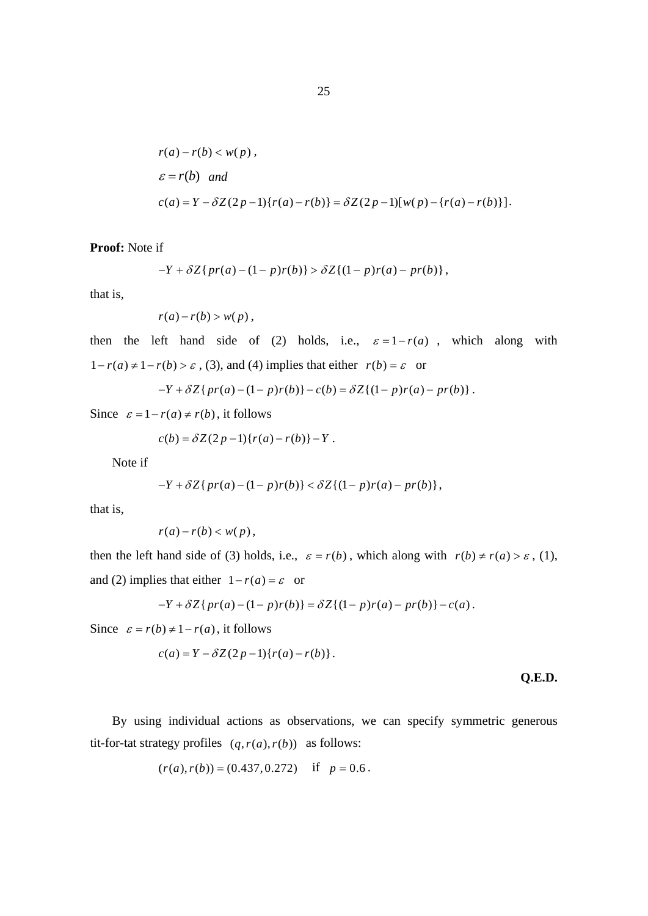$$
r(a) - r(b) < w(p),
$$
\n
$$
\varepsilon = r(b) \quad \text{and}
$$
\n
$$
c(a) = Y - \delta Z(2p - 1)\{r(a) - r(b)\} = \delta Z(2p - 1)[w(p) - \{r(a) - r(b)\}].
$$

**Proof:** Note if

$$
-Y + \delta Z\{pr(a) - (1 - p)r(b)\} > \delta Z\{(1 - p)r(a) - pr(b)\},\
$$

that is,

$$
r(a)-r(b)>w(p)\,,
$$

then the left hand side of (2) holds, i.e.,  $\varepsilon = 1 - r(a)$ , which along with  $1 - r(a) \neq 1 - r(b) > \varepsilon$ , (3), and (4) implies that either  $r(b) = \varepsilon$  or

$$
-Y + \delta Z\{pr(a) - (1 - p)r(b)\} - c(b) = \delta Z\{(1 - p)r(a) - pr(b)\}.
$$

Since  $\varepsilon = 1 - r(a) \neq r(b)$ , it follows

$$
c(b) = \delta Z(2p-1)\{r(a) - r(b)\} - Y.
$$

Note if

$$
-Y + \delta Z\{pr(a) - (1 - p)r(b)\} < \delta Z\{(1 - p)r(a) - pr(b)\},\
$$

that is,

$$
r(a)-r(b)
$$

then the left hand side of (3) holds, i.e.,  $\varepsilon = r(b)$ , which along with  $r(b) \neq r(a) > \varepsilon$ , (1), and (2) implies that either  $1 - r(a) = \varepsilon$  or

$$
-Y + \delta Z\{pr(a) - (1 - p)r(b)\} = \delta Z\{(1 - p)r(a) - pr(b)\} - c(a).
$$

Since  $\varepsilon = r(b) \neq 1 - r(a)$ , it follows

$$
c(a) = Y - \delta Z(2p-1)\{r(a) - r(b)\}.
$$

**Q.E.D.** 

By using individual actions as observations, we can specify symmetric generous tit-for-tat strategy profiles  $(q, r(a), r(b))$  as follows:

$$
(r(a), r(b)) = (0.437, 0.272) \text{ if } p = 0.6.
$$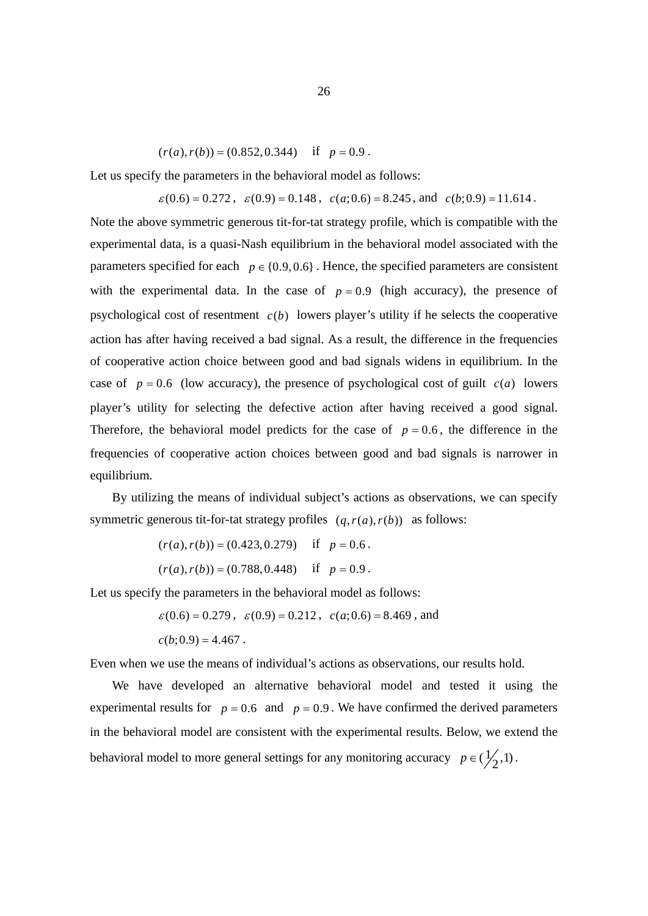$(r(a), r(b)) = (0.852, 0.344)$  *if*  $p = 0.9$ .

Let us specify the parameters in the behavioral model as follows:

 $\varepsilon(0.6) = 0.272$ ,  $\varepsilon(0.9) = 0.148$ ,  $c(a; 0.6) = 8.245$ , and  $c(b; 0.9) = 11.614$ .

Note the above symmetric generous tit-for-tat strategy profile, which is compatible with the experimental data, is a quasi-Nash equilibrium in the behavioral model associated with the parameters specified for each  $p \in \{0.9, 0.6\}$ . Hence, the specified parameters are consistent with the experimental data. In the case of  $p = 0.9$  (high accuracy), the presence of psychological cost of resentment  $c(b)$  lowers player's utility if he selects the cooperative action has after having received a bad signal. As a result, the difference in the frequencies of cooperative action choice between good and bad signals widens in equilibrium. In the case of  $p = 0.6$  (low accuracy), the presence of psychological cost of guilt  $c(a)$  lowers player's utility for selecting the defective action after having received a good signal. Therefore, the behavioral model predicts for the case of  $p = 0.6$ , the difference in the frequencies of cooperative action choices between good and bad signals is narrower in equilibrium.

 By utilizing the means of individual subject's actions as observations, we can specify symmetric generous tit-for-tat strategy profiles  $(q, r(a), r(b))$  as follows:

$$
(r(a), r(b)) = (0.423, 0.279) \quad \text{if} \quad p = 0.6 \, .
$$

 $(r(a), r(b)) = (0.788, 0.448)$  if  $p = 0.9$ .

Let us specify the parameters in the behavioral model as follows:

 $\varepsilon(0.6) = 0.279$ ,  $\varepsilon(0.9) = 0.212$ ,  $c(a, 0.6) = 8.469$ , and  $c(b;0.9) = 4.467$ .

Even when we use the means of individual's actions as observations, our results hold.

We have developed an alternative behavioral model and tested it using the experimental results for  $p = 0.6$  and  $p = 0.9$ . We have confirmed the derived parameters in the behavioral model are consistent with the experimental results. Below, we extend the behavioral model to more general settings for any monitoring accuracy  $p \in (\frac{1}{2}, 1)$ .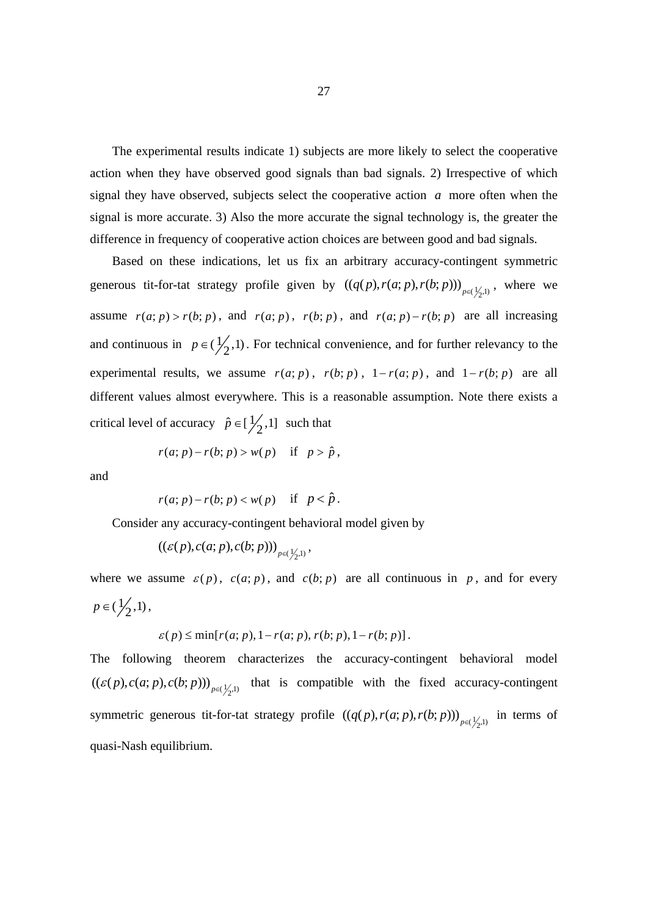The experimental results indicate 1) subjects are more likely to select the cooperative action when they have observed good signals than bad signals. 2) Irrespective of which signal they have observed, subjects select the cooperative action *a* more often when the signal is more accurate. 3) Also the more accurate the signal technology is, the greater the difference in frequency of cooperative action choices are between good and bad signals.

Based on these indications, let us fix an arbitrary accuracy-contingent symmetric generous tit-for-tat strategy profile given by  $((q(p), r(a; p), r(b; p)))_{p \in (\frac{1}{2}, 1)}$ , where we assume  $r(a; p) > r(b; p)$ , and  $r(a; p)$ ,  $r(b; p)$ , and  $r(a; p) - r(b; p)$  are all increasing and continuous in  $p \in (\frac{1}{2}, 1)$ . For technical convenience, and for further relevancy to the experimental results, we assume  $r(a; p)$ ,  $r(b; p)$ ,  $1 - r(a; p)$ , and  $1 - r(b; p)$  are all different values almost everywhere. This is a reasonable assumption. Note there exists a critical level of accuracy  $\hat{p} \in [\frac{1}{2}, 1]$  such that

$$
r(a; p) - r(b; p) > w(p) \quad \text{if} \quad p > \hat{p},
$$

and

$$
r(a; p) - r(b; p) < w(p) \quad \text{if} \quad p < \hat{p} \, .
$$

Consider any accuracy-contingent behavioral model given by

$$
\left((\varepsilon(p),c(a;p),c(b;p))\right)_{p\in(\frac{1}{2},1)},
$$

where we assume  $\varepsilon(p)$ ,  $c(a; p)$ , and  $c(b; p)$  are all continuous in p, and for every  $p \in (\frac{1}{2}, 1)$ ,

$$
\varepsilon(p) \le \min[r(a; p), 1 - r(a; p), r(b; p), 1 - r(b; p)].
$$

The following theorem characterizes the accuracy-contingent behavioral model  $((\varepsilon(p), c(a; p), c(b; p)))_{p \in (\frac{1}{2}, 1)}$  that is compatible with the fixed accuracy-contingent symmetric generous tit-for-tat strategy profile  $((q(p), r(a; p), r(b; p)))_{p \in (\frac{1}{2}, 1)}$  in terms of quasi-Nash equilibrium.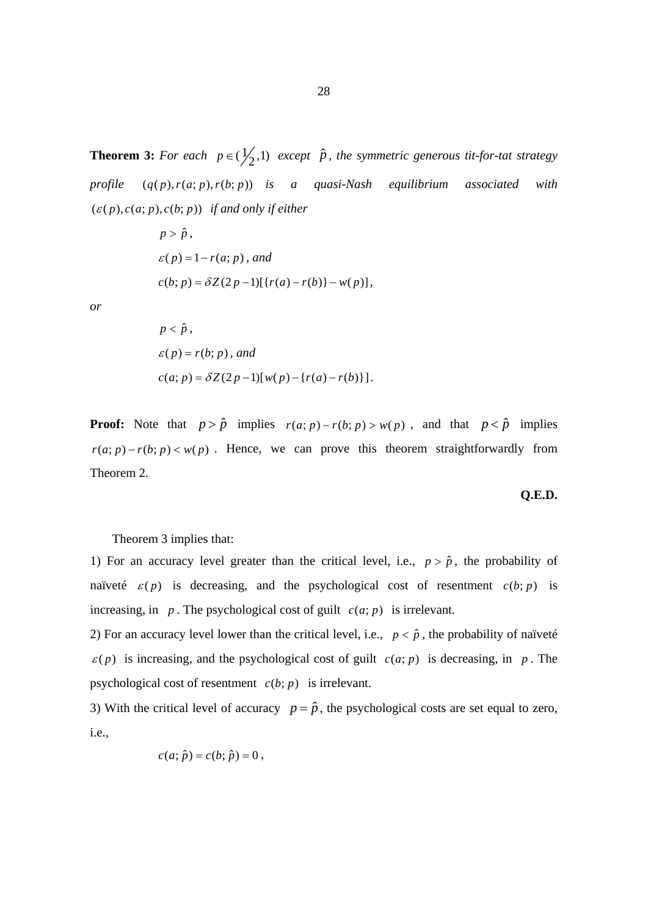**Theorem 3:** For each  $p \in (\frac{1}{2}, 1)$  except  $\hat{p}$ , the symmetric generous tit-for-tat strategy *profile*  $(q(p), r(a; p), r(b; p))$  *is a quasi-Nash equilibrium associated with*  $(\varepsilon(p), c(a; p), c(b; p))$  *if and only if either* 

$$
p > \hat{p},
$$
  
\n
$$
\varepsilon(p) = 1 - r(a; p), and
$$
  
\n
$$
c(b; p) = \delta Z(2p - 1)[\{r(a) - r(b)\} - w(p)],
$$

*or* 

$$
p < \hat{p},
$$
\n
$$
\varepsilon(p) = r(b; p), \text{ and}
$$
\n
$$
c(a; p) = \delta Z(2p - 1)[w(p) - \{r(a) - r(b)\}].
$$

**Proof:** Note that  $p > \hat{p}$  implies  $r(a; p) - r(b; p) > w(p)$ , and that  $p < \hat{p}$  implies  $r(a; p) - r(b; p) < w(p)$ . Hence, we can prove this theorem straightforwardly from Theorem 2.

#### **Q.E.D.**

Theorem 3 implies that:

1) For an accuracy level greater than the critical level, i.e.,  $p > \hat{p}$ , the probability of naïveté  $\varepsilon(p)$  is decreasing, and the psychological cost of resentment  $c(b; p)$  is increasing, in  $p$ . The psychological cost of guilt  $c(a; p)$  is irrelevant.

2) For an accuracy level lower than the critical level, i.e.,  $p < \hat{p}$ , the probability of naïveté  $\varepsilon$ (*p*) is increasing, and the psychological cost of guilt  $c(a; p)$  is decreasing, in *p*. The psychological cost of resentment  $c(b; p)$  is irrelevant.

3) With the critical level of accuracy  $p = \hat{p}$ , the psychological costs are set equal to zero, i.e.,

$$
c(a; \hat{p}) = c(b; \hat{p}) = 0,
$$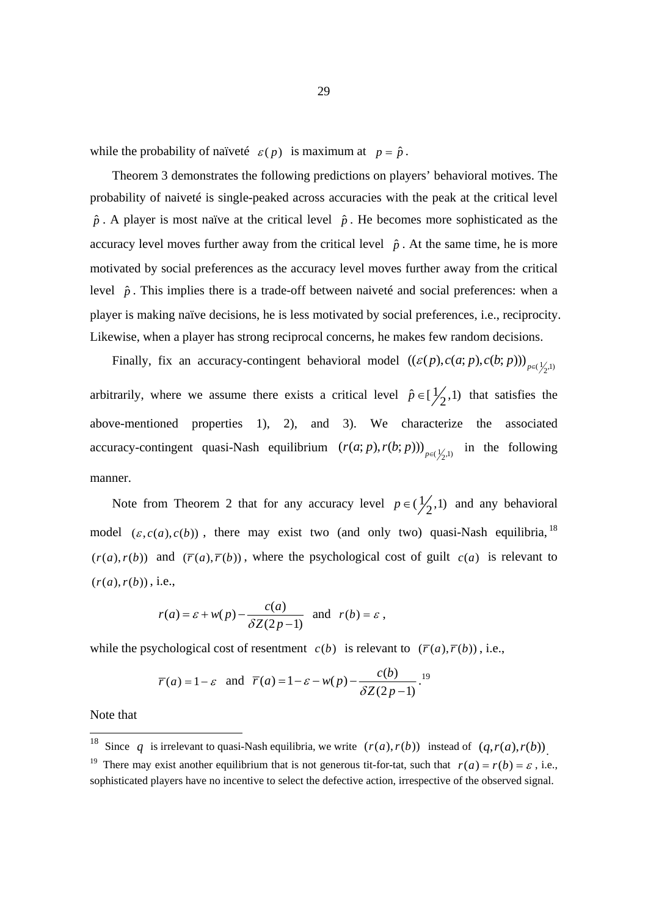while the probability of naïveté  $\varepsilon(p)$  is maximum at  $p = \hat{p}$ .

 Theorem 3 demonstrates the following predictions on players' behavioral motives. The probability of naiveté is single-peaked across accuracies with the peak at the critical level  $\hat{p}$ . A player is most naïve at the critical level  $\hat{p}$ . He becomes more sophisticated as the accuracy level moves further away from the critical level  $\hat{p}$ . At the same time, he is more motivated by social preferences as the accuracy level moves further away from the critical level  $\hat{p}$ . This implies there is a trade-off between naiveté and social preferences: when a player is making naïve decisions, he is less motivated by social preferences, i.e., reciprocity. Likewise, when a player has strong reciprocal concerns, he makes few random decisions.

Finally, fix an accuracy-contingent behavioral model  $((\varepsilon(p), c(a; p), c(b; p)))_{p \in (\frac{1}{2}, 1)}$ arbitrarily, where we assume there exists a critical level  $\hat{p} \in [\frac{1}{2}, 1)$  that satisfies the above-mentioned properties 1), 2), and 3). We characterize the associated accuracy-contingent quasi-Nash equilibrium  $(r(a; p), r(b; p)))_{p \in (\frac{1}{2}, 1)}$  in the following manner.

Note from Theorem 2 that for any accuracy level  $p \in (\frac{1}{2}, 1)$  and any behavioral model  $(\varepsilon, c(a), c(b))$ , there may exist two (and only two) quasi-Nash equilibria, <sup>18</sup>  $(r(a), r(b))$  and  $(\overline{r}(a), \overline{r}(b))$ , where the psychological cost of guilt  $c(a)$  is relevant to  $(r(a), r(b))$ , i.e.,

$$
r(a) = \varepsilon + w(p) - \frac{c(a)}{\delta Z(2p-1)}
$$
 and  $r(b) = \varepsilon$ ,

while the psychological cost of resentment  $c(b)$  is relevant to  $(\overline{r}(a), \overline{r}(b))$ , i.e.,

$$
\overline{r}(a) = 1 - \varepsilon
$$
 and  $\overline{r}(a) = 1 - \varepsilon - w(p) - \frac{c(b)}{\delta Z(2p-1)}$ .<sup>19</sup>

Note that

-

<sup>&</sup>lt;sup>18</sup> Since q is irrelevant to quasi-Nash equilibria, we write  $(r(a), r(b))$  instead of  $(q, r(a), r(b))$ .<br><sup>19</sup> There may exist another equilibrium that is not generous tit-for-tat, such that  $r(a) = r(b) = \varepsilon$ , i.e.,

sophisticated players have no incentive to select the defective action, irrespective of the observed signal.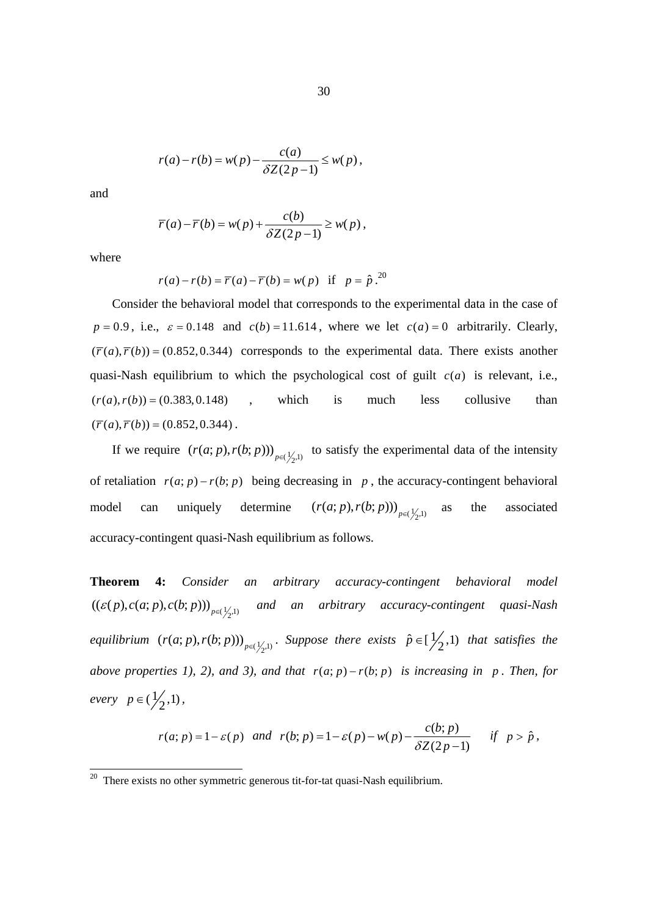$$
r(a)-r(b)=w(p)-\frac{c(a)}{\delta Z(2p-1)}\leq w(p),
$$

and

$$
\overline{r}(a) - \overline{r}(b) = w(p) + \frac{c(b)}{\delta Z(2p-1)} \ge w(p),
$$

where

$$
r(a) - r(b) = \overline{r}(a) - \overline{r}(b) = w(p) \text{ if } p = \hat{p}^{20}
$$

Consider the behavioral model that corresponds to the experimental data in the case of  $p = 0.9$ , i.e.,  $\varepsilon = 0.148$  and  $c(b) = 11.614$ , where we let  $c(a) = 0$  arbitrarily. Clearly,  $(\overline{r}(a), \overline{r}(b)) = (0.852, 0.344)$  corresponds to the experimental data. There exists another quasi-Nash equilibrium to which the psychological cost of guilt  $c(a)$  is relevant, i.e.,  $(r(a), r(b)) = (0.383, 0.148)$  *ran r is* much less collusive than  $(\overline{r}(a), \overline{r}(b)) = (0.852, 0.344)$ .

If we require  $(r(a; p), r(b; p))$ ,  $_{p \in (\frac{1}{2}, 1)}$  to satisfy the experimental data of the intensity of retaliation  $r(a; p) - r(b; p)$  being decreasing in p, the accuracy-contingent behavioral model can uniquely determine  $(r(a; p), r(b; p))$ <sub> $p \in (\frac{1}{2}, 1)$ </sub> as the associated accuracy-contingent quasi-Nash equilibrium as follows.

**Theorem 4:** *Consider an arbitrary accuracy-contingent behavioral model*   $((\varepsilon(p), c(a; p), c(b; p)))_{p \in (\frac{1}{2}, 1)}$  and an arbitrary accuracy-contingent quasi-Nash *equilibrium*  $(r(a; p), r(b; p))$   $_{p \in (\frac{1}{2}, 1)}$ . Suppose there exists  $\hat{p} \in [\frac{1}{2}, 1)$  that satisfies the *above properties 1), 2), and 3), and that*  $r(a; p) - r(b; p)$  *is increasing in p. Then, for every*  $p \in (\frac{1}{2}, 1)$ ,

$$
r(a; p) = 1 - \varepsilon(p) \quad and \quad r(b; p) = 1 - \varepsilon(p) - w(p) - \frac{c(b; p)}{\delta Z(2p - 1)} \quad \text{if} \quad p > \hat{p},
$$

**<sup>20</sup>** There exists no other symmetric generous tit-for-tat quasi-Nash equilibrium.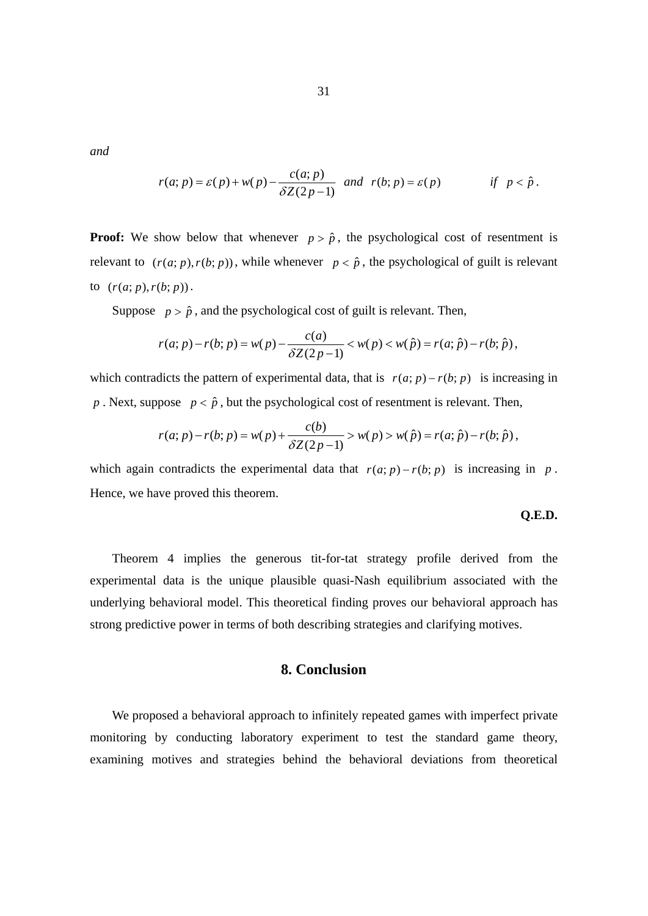*and* 

$$
r(a; p) = \varepsilon(p) + w(p) - \frac{c(a; p)}{\delta Z(2p-1)} \quad \text{and} \quad r(b; p) = \varepsilon(p) \qquad \text{if} \quad p < \hat{p} \, .
$$

**Proof:** We show below that whenever  $p > \hat{p}$ , the psychological cost of resentment is relevant to  $(r(a; p), r(b; p))$ , while whenever  $p < \hat{p}$ , the psychological of guilt is relevant to  $(r(a; p), r(b; p))$ .

Suppose  $p > \hat{p}$ , and the psychological cost of guilt is relevant. Then,

$$
r(a; p) - r(b; p) = w(p) - \frac{c(a)}{\delta Z(2p-1)} < w(p) < w(\hat{p}) = r(a; \hat{p}) - r(b; \hat{p}),
$$

which contradicts the pattern of experimental data, that is  $r(a; p) - r(b; p)$  is increasing in *p* . Next, suppose  $p < \hat{p}$ , but the psychological cost of resentment is relevant. Then,

$$
r(a; p) - r(b; p) = w(p) + \frac{c(b)}{\delta Z(2p-1)} > w(p) > w(\hat{p}) = r(a; \hat{p}) - r(b; \hat{p}),
$$

which again contradicts the experimental data that  $r(a; p) - r(b; p)$  is increasing in *p*. Hence, we have proved this theorem.

#### **Q.E.D.**

 Theorem 4 implies the generous tit-for-tat strategy profile derived from the experimental data is the unique plausible quasi-Nash equilibrium associated with the underlying behavioral model. This theoretical finding proves our behavioral approach has strong predictive power in terms of both describing strategies and clarifying motives.

## **8. Conclusion**

 We proposed a behavioral approach to infinitely repeated games with imperfect private monitoring by conducting laboratory experiment to test the standard game theory, examining motives and strategies behind the behavioral deviations from theoretical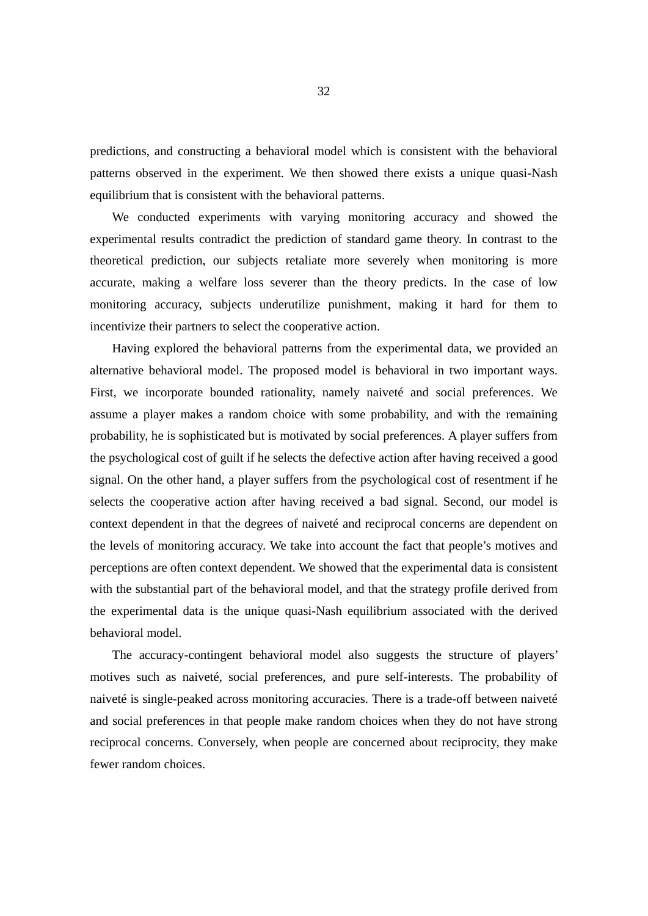predictions, and constructing a behavioral model which is consistent with the behavioral patterns observed in the experiment. We then showed there exists a unique quasi-Nash equilibrium that is consistent with the behavioral patterns.

 We conducted experiments with varying monitoring accuracy and showed the experimental results contradict the prediction of standard game theory. In contrast to the theoretical prediction, our subjects retaliate more severely when monitoring is more accurate, making a welfare loss severer than the theory predicts. In the case of low monitoring accuracy, subjects underutilize punishment, making it hard for them to incentivize their partners to select the cooperative action.

Having explored the behavioral patterns from the experimental data, we provided an alternative behavioral model. The proposed model is behavioral in two important ways. First, we incorporate bounded rationality, namely naiveté and social preferences. We assume a player makes a random choice with some probability, and with the remaining probability, he is sophisticated but is motivated by social preferences. A player suffers from the psychological cost of guilt if he selects the defective action after having received a good signal. On the other hand, a player suffers from the psychological cost of resentment if he selects the cooperative action after having received a bad signal. Second, our model is context dependent in that the degrees of naiveté and reciprocal concerns are dependent on the levels of monitoring accuracy. We take into account the fact that people's motives and perceptions are often context dependent. We showed that the experimental data is consistent with the substantial part of the behavioral model, and that the strategy profile derived from the experimental data is the unique quasi-Nash equilibrium associated with the derived behavioral model.

The accuracy-contingent behavioral model also suggests the structure of players' motives such as naiveté, social preferences, and pure self-interests. The probability of naiveté is single-peaked across monitoring accuracies. There is a trade-off between naiveté and social preferences in that people make random choices when they do not have strong reciprocal concerns. Conversely, when people are concerned about reciprocity, they make fewer random choices.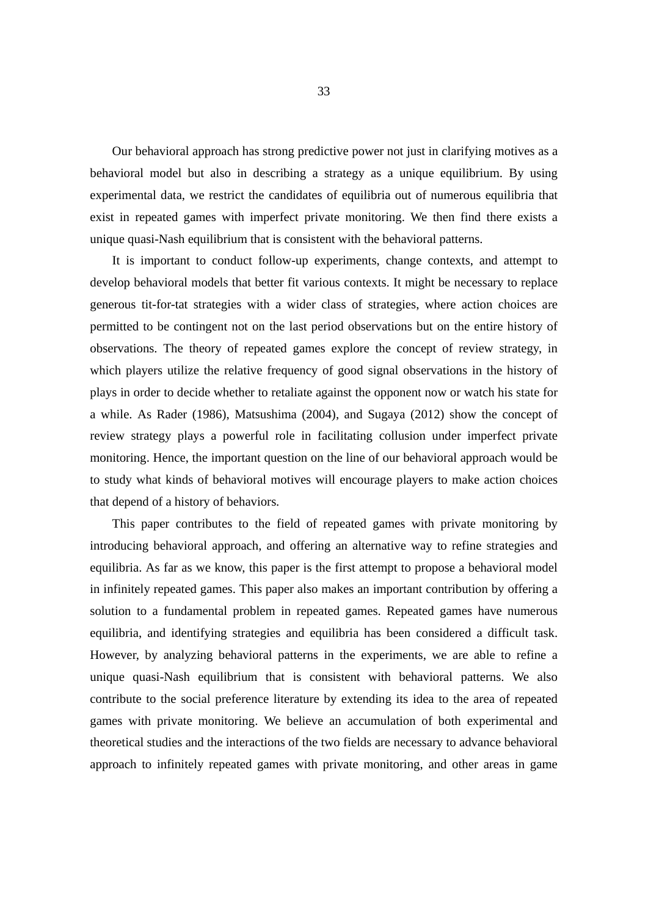Our behavioral approach has strong predictive power not just in clarifying motives as a behavioral model but also in describing a strategy as a unique equilibrium. By using experimental data, we restrict the candidates of equilibria out of numerous equilibria that exist in repeated games with imperfect private monitoring. We then find there exists a unique quasi-Nash equilibrium that is consistent with the behavioral patterns.

 It is important to conduct follow-up experiments, change contexts, and attempt to develop behavioral models that better fit various contexts. It might be necessary to replace generous tit-for-tat strategies with a wider class of strategies, where action choices are permitted to be contingent not on the last period observations but on the entire history of observations. The theory of repeated games explore the concept of review strategy, in which players utilize the relative frequency of good signal observations in the history of plays in order to decide whether to retaliate against the opponent now or watch his state for a while. As Rader (1986), Matsushima (2004), and Sugaya (2012) show the concept of review strategy plays a powerful role in facilitating collusion under imperfect private monitoring. Hence, the important question on the line of our behavioral approach would be to study what kinds of behavioral motives will encourage players to make action choices that depend of a history of behaviors.

 This paper contributes to the field of repeated games with private monitoring by introducing behavioral approach, and offering an alternative way to refine strategies and equilibria. As far as we know, this paper is the first attempt to propose a behavioral model in infinitely repeated games. This paper also makes an important contribution by offering a solution to a fundamental problem in repeated games. Repeated games have numerous equilibria, and identifying strategies and equilibria has been considered a difficult task. However, by analyzing behavioral patterns in the experiments, we are able to refine a unique quasi-Nash equilibrium that is consistent with behavioral patterns. We also contribute to the social preference literature by extending its idea to the area of repeated games with private monitoring. We believe an accumulation of both experimental and theoretical studies and the interactions of the two fields are necessary to advance behavioral approach to infinitely repeated games with private monitoring, and other areas in game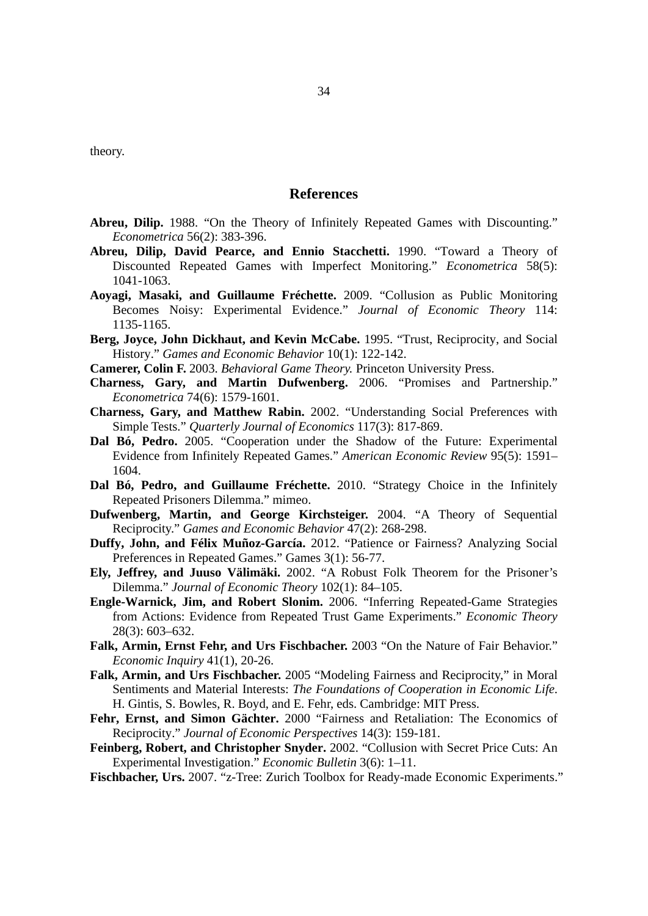theory.

#### **References**

- **Abreu, Dilip.** 1988. "On the Theory of Infinitely Repeated Games with Discounting." *Econometrica* 56(2): 383-396.
- **Abreu, Dilip, David Pearce, and Ennio Stacchetti.** 1990. "Toward a Theory of Discounted Repeated Games with Imperfect Monitoring." *Econometrica* 58(5): 1041-1063.
- **Aoyagi, Masaki, and Guillaume Fréchette.** 2009. "Collusion as Public Monitoring Becomes Noisy: Experimental Evidence." *Journal of Economic Theory* 114: 1135-1165.
- **Berg, Joyce, John Dickhaut, and Kevin McCabe.** 1995. "Trust, Reciprocity, and Social History." *Games and Economic Behavior* 10(1): 122-142.
- **Camerer, Colin F.** 2003. *Behavioral Game Theory.* Princeton University Press.
- **Charness, Gary, and Martin Dufwenberg.** 2006. "Promises and Partnership." *Econometrica* 74(6): 1579-1601.
- **Charness, Gary, and Matthew Rabin.** 2002. "Understanding Social Preferences with Simple Tests." *Quarterly Journal of Economics* 117(3): 817-869.
- **Dal Bó, Pedro.** 2005. "Cooperation under the Shadow of the Future: Experimental Evidence from Infinitely Repeated Games." *American Economic Review* 95(5): 1591– 1604.
- **Dal Bó, Pedro, and Guillaume Fréchette.** 2010. "Strategy Choice in the Infinitely Repeated Prisoners Dilemma." mimeo.
- **Dufwenberg, Martin, and George Kirchsteiger.** 2004. "A Theory of Sequential Reciprocity." *Games and Economic Behavior* 47(2): 268-298.
- **Duffy, John, and Félix Muñoz-García.** 2012. "Patience or Fairness? Analyzing Social Preferences in Repeated Games." Games 3(1): 56-77.
- **Ely, Jeffrey, and Juuso Välimäki.** 2002. "A Robust Folk Theorem for the Prisoner's Dilemma." *Journal of Economic Theory* 102(1): 84–105.
- **Engle-Warnick, Jim, and Robert Slonim.** 2006. "Inferring Repeated-Game Strategies from Actions: Evidence from Repeated Trust Game Experiments." *Economic Theory* 28(3): 603–632.
- **Falk, Armin, Ernst Fehr, and Urs Fischbacher.** 2003 "On the Nature of Fair Behavior." *Economic Inquiry* 41(1), 20-26.
- **Falk, Armin, and Urs Fischbacher.** 2005 "Modeling Fairness and Reciprocity," in Moral Sentiments and Material Interests: *The Foundations of Cooperation in Economic Life*. H. Gintis, S. Bowles, R. Boyd, and E. Fehr, eds. Cambridge: MIT Press.
- **Fehr, Ernst, and Simon Gächter.** 2000 "Fairness and Retaliation: The Economics of Reciprocity." *Journal of Economic Perspectives* 14(3): 159-181.
- **Feinberg, Robert, and Christopher Snyder.** 2002. "Collusion with Secret Price Cuts: An Experimental Investigation." *Economic Bulletin* 3(6): 1–11.
- **Fischbacher, Urs.** 2007. "z-Tree: Zurich Toolbox for Ready-made Economic Experiments."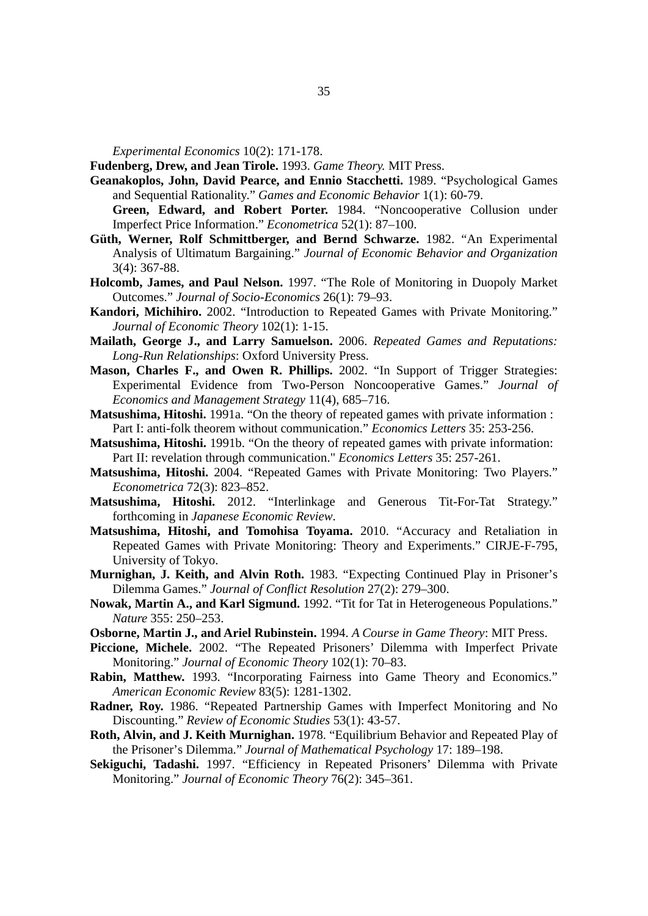*Experimental Economics* 10(2): 171-178.

**Fudenberg, Drew, and Jean Tirole.** 1993. *Game Theory.* MIT Press.

- **Geanakoplos, John, David Pearce, and Ennio Stacchetti.** 1989. "Psychological Games and Sequential Rationality." *Games and Economic Behavior* 1(1): 60-79. **Green, Edward, and Robert Porter.** 1984. "Noncooperative Collusion under
- Imperfect Price Information." *Econometrica* 52(1): 87–100. **Güth, Werner, Rolf Schmittberger, and Bernd Schwarze.** 1982. "An Experimental Analysis of Ultimatum Bargaining." *Journal of Economic Behavior and Organization*  3(4): 367-88.
- **Holcomb, James, and Paul Nelson.** 1997. "The Role of Monitoring in Duopoly Market Outcomes." *Journal of Socio-Economics* 26(1): 79–93.
- **Kandori, Michihiro.** 2002. "Introduction to Repeated Games with Private Monitoring." *Journal of Economic Theory* 102(1): 1-15.
- **Mailath, George J., and Larry Samuelson.** 2006. *Repeated Games and Reputations: Long-Run Relationships*: Oxford University Press.
- **Mason, Charles F., and Owen R. Phillips.** 2002. "In Support of Trigger Strategies: Experimental Evidence from Two-Person Noncooperative Games." *Journal of Economics and Management Strategy* 11(4), 685–716.
- **Matsushima, Hitoshi.** 1991a. "On the theory of repeated games with private information : Part I: anti-folk theorem without communication." *Economics Letters* 35: 253-256.
- **Matsushima, Hitoshi.** 1991b. "On the theory of repeated games with private information: Part II: revelation through communication." *Economics Letters* 35: 257-261.
- **Matsushima, Hitoshi.** 2004. "Repeated Games with Private Monitoring: Two Players." *Econometrica* 72(3): 823–852.
- **Matsushima, Hitoshi.** 2012. "Interlinkage and Generous Tit-For-Tat Strategy." forthcoming in *Japanese Economic Review*.
- **Matsushima, Hitoshi, and Tomohisa Toyama.** 2010. "Accuracy and Retaliation in Repeated Games with Private Monitoring: Theory and Experiments." CIRJE-F-795, University of Tokyo.
- **Murnighan, J. Keith, and Alvin Roth.** 1983. "Expecting Continued Play in Prisoner's Dilemma Games." *Journal of Conflict Resolution* 27(2): 279–300.
- **Nowak, Martin A., and Karl Sigmund.** 1992. "Tit for Tat in Heterogeneous Populations." *Nature* 355: 250–253.
- **Osborne, Martin J., and Ariel Rubinstein.** 1994. *A Course in Game Theory*: MIT Press.
- **Piccione, Michele.** 2002. "The Repeated Prisoners' Dilemma with Imperfect Private Monitoring." *Journal of Economic Theory* 102(1): 70–83.
- **Rabin, Matthew.** 1993. "Incorporating Fairness into Game Theory and Economics." *American Economic Review* 83(5): 1281-1302.
- **Radner, Roy.** 1986. "Repeated Partnership Games with Imperfect Monitoring and No Discounting." *Review of Economic Studies* 53(1): 43-57.
- **Roth, Alvin, and J. Keith Murnighan.** 1978. "Equilibrium Behavior and Repeated Play of the Prisoner's Dilemma." *Journal of Mathematical Psychology* 17: 189–198.
- **Sekiguchi, Tadashi.** 1997. "Efficiency in Repeated Prisoners' Dilemma with Private Monitoring." *Journal of Economic Theory* 76(2): 345–361.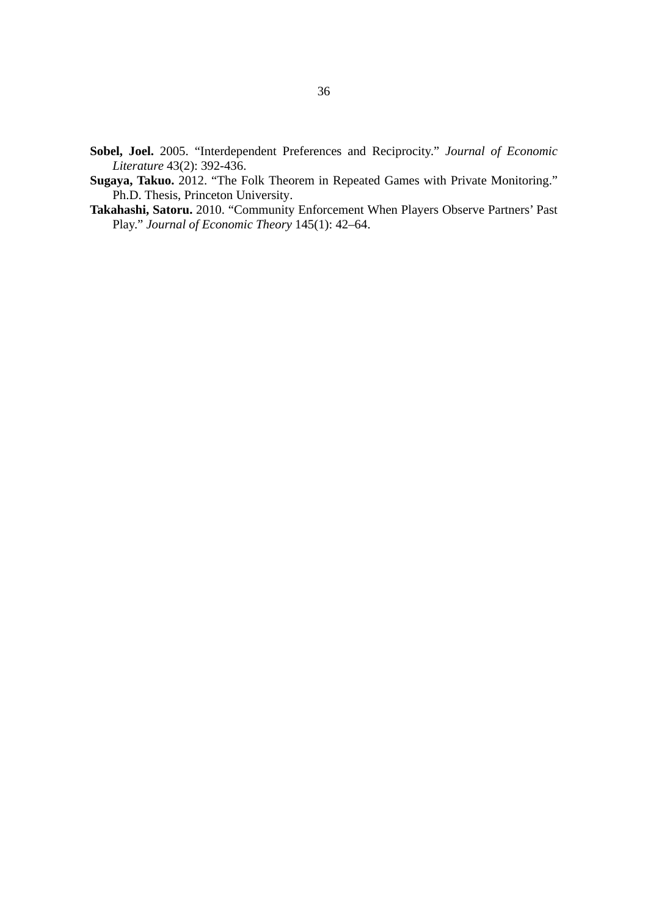**Sobel, Joel.** 2005. "Interdependent Preferences and Reciprocity." *Journal of Economic Literature* 43(2): 392-436.

- **Sugaya, Takuo.** 2012. "The Folk Theorem in Repeated Games with Private Monitoring." Ph.D. Thesis, Princeton University.
- **Takahashi, Satoru.** 2010. "Community Enforcement When Players Observe Partners' Past Play." *Journal of Economic Theory* 145(1): 42–64.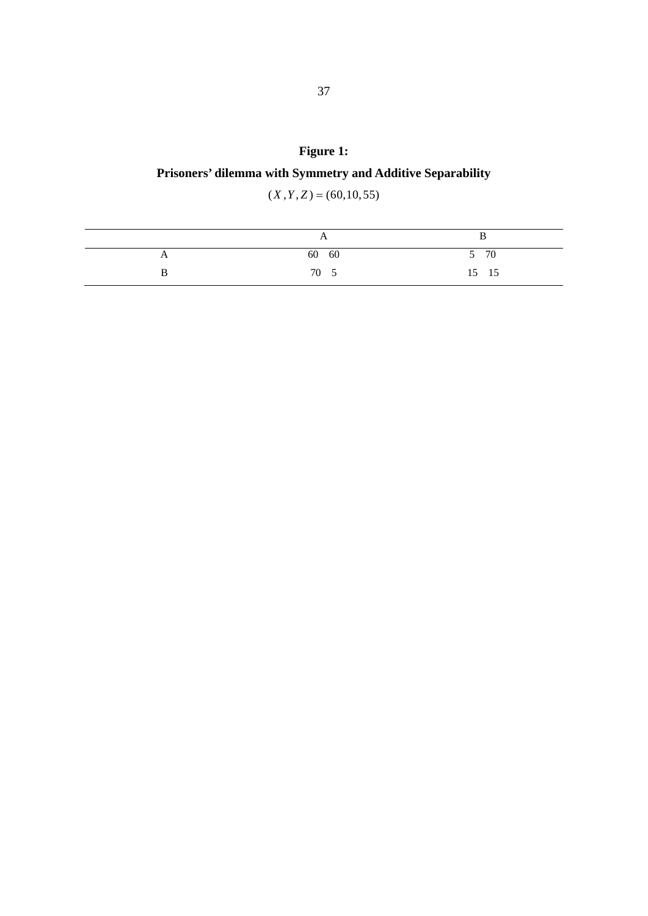## **Figure 1:**

## **Prisoners' dilemma with Symmetry and Additive Separability**

 $(X, Y, Z) = (60, 10, 55)$ 

| $\overline{ }$ |       |
|----------------|-------|
| 60 60          | 5 70  |
| 70 5           | 15 15 |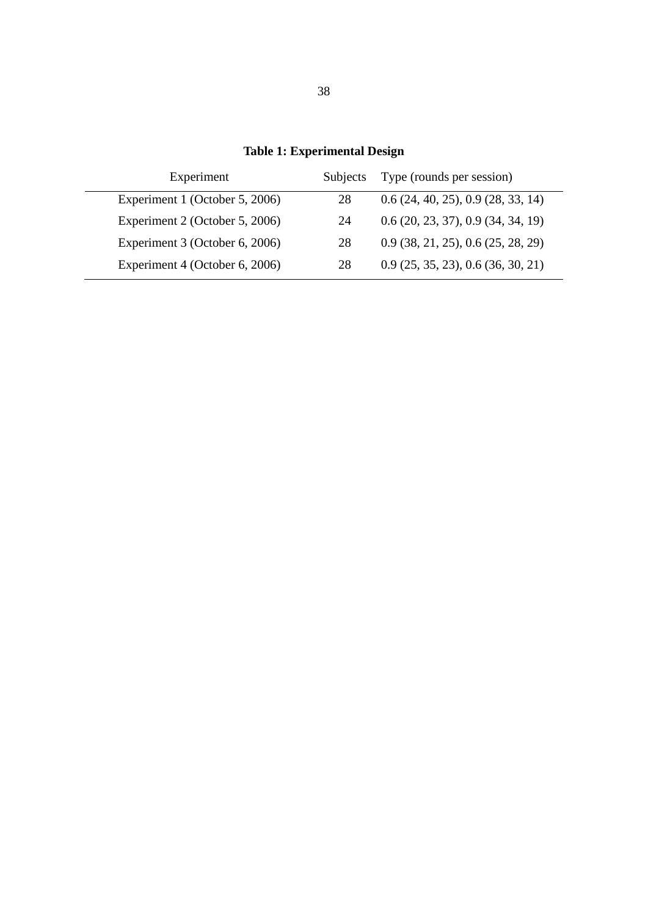| Experiment                     | <b>Subjects</b> | Type (rounds per session)        |
|--------------------------------|-----------------|----------------------------------|
| Experiment 1 (October 5, 2006) | 28              | 0.6(24, 40, 25), 0.9(28, 33, 14) |
| Experiment 2 (October 5, 2006) | 24              | 0.6(20, 23, 37), 0.9(34, 34, 19) |
| Experiment 3 (October 6, 2006) | 28              | 0.9(38, 21, 25), 0.6(25, 28, 29) |
| Experiment 4 (October 6, 2006) | 28              | 0.9(25, 35, 23), 0.6(36, 30, 21) |

**Table 1: Experimental Design**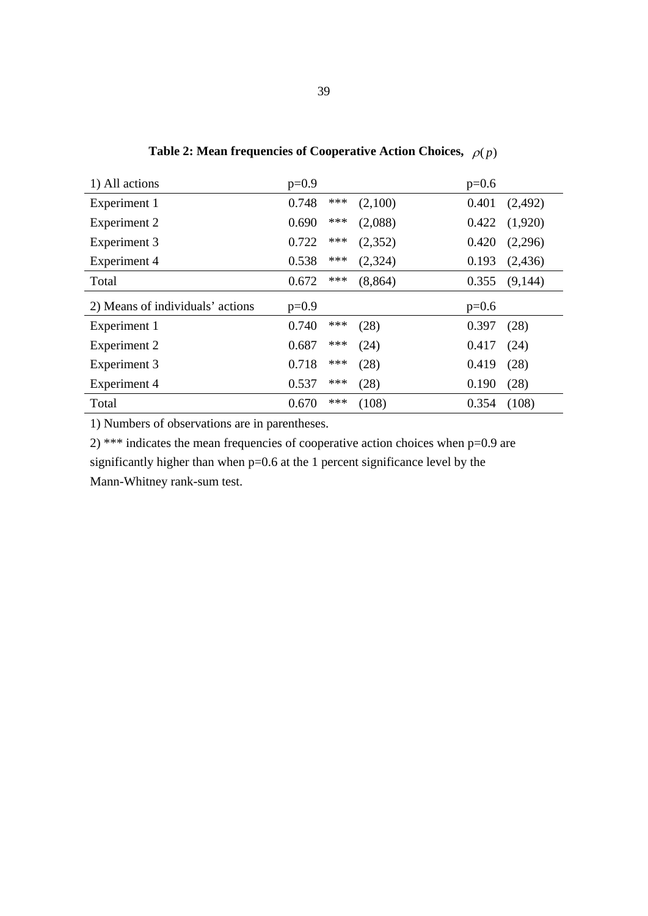| 1) All actions                   | $p=0.9$ |       |          | $p=0.6$ |         |
|----------------------------------|---------|-------|----------|---------|---------|
| Experiment 1                     | 0.748   | ***   | (2,100)  | 0.401   | (2,492) |
| Experiment 2                     | 0.690   | $***$ | (2,088)  | 0.422   | (1,920) |
| Experiment 3                     | 0.722   | $***$ | (2,352)  | 0.420   | (2,296) |
| Experiment 4                     | 0.538   | $***$ | (2,324)  | 0.193   | (2,436) |
| Total                            | 0.672   | $***$ | (8, 864) | 0.355   | (9,144) |
|                                  |         |       |          |         |         |
| 2) Means of individuals' actions | $p=0.9$ |       |          | $p=0.6$ |         |
| Experiment 1                     | 0.740   | ***   | (28)     | 0.397   | (28)    |
| Experiment 2                     | 0.687   | ***   | (24)     | 0.417   | (24)    |
| Experiment 3                     | 0.718   | ***   | (28)     | 0.419   | (28)    |
| Experiment 4                     | 0.537   | ***   | (28)     | 0.190   | (28)    |

**Table 2: Mean frequencies of Cooperative Action Choices,**  $\rho(p)$ 

2) \*\*\* indicates the mean frequencies of cooperative action choices when p=0.9 are significantly higher than when p=0.6 at the 1 percent significance level by the Mann-Whitney rank-sum test.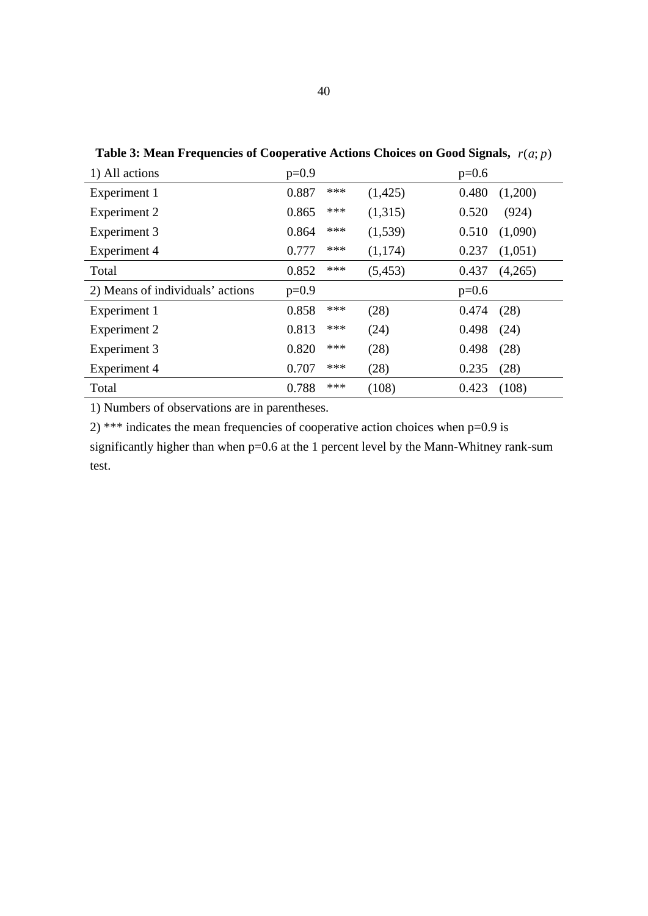| 1) All actions                   | $p=0.9$ |       |          | $p=0.6$ |         |
|----------------------------------|---------|-------|----------|---------|---------|
| Experiment 1                     | 0.887   | ***   | (1,425)  | 0.480   | (1,200) |
| Experiment 2                     | 0.865   | $***$ | (1,315)  | 0.520   | (924)   |
| Experiment 3                     | 0.864   | $***$ | (1,539)  | 0.510   | (1,090) |
| Experiment 4                     | 0.777   | $***$ | (1,174)  | 0.237   | (1,051) |
| Total                            | 0.852   | $***$ | (5, 453) | 0.437   | (4,265) |
| 2) Means of individuals' actions | $p=0.9$ |       |          | $p=0.6$ |         |
| Experiment 1                     | 0.858   | ***   | (28)     | 0.474   | (28)    |
| Experiment 2                     | 0.813   | $***$ | (24)     | 0.498   | (24)    |
| Experiment 3                     | 0.820   | $***$ | (28)     | 0.498   | (28)    |
| Experiment 4                     | 0.707   | $***$ | (28)     | 0.235   | (28)    |
| Total                            | 0.788   | $***$ | (108)    | 0.423   | (108)   |

**Table 3: Mean Frequencies of Cooperative Actions Choices on Good Signals,**  $r(a; p)$ 

2) \*\*\* indicates the mean frequencies of cooperative action choices when  $p=0.9$  is significantly higher than when p=0.6 at the 1 percent level by the Mann-Whitney rank-sum test.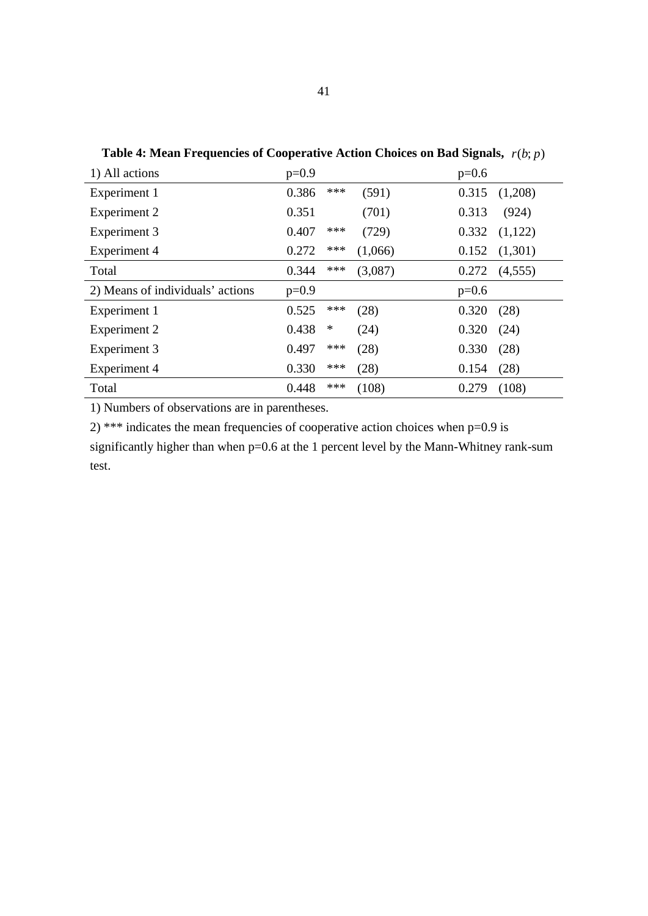| 1) All actions                   | $p=0.9$ |        |         | $p=0.6$ |         |
|----------------------------------|---------|--------|---------|---------|---------|
| Experiment 1                     | 0.386   | $***$  | (591)   | 0.315   | (1,208) |
| Experiment 2                     | 0.351   |        | (701)   | 0.313   | (924)   |
| Experiment 3                     | 0.407   | $***$  | (729)   | 0.332   | (1,122) |
| Experiment 4                     | 0.272   | ***    | (1,066) | 0.152   | (1,301) |
| Total                            | 0.344   | $***$  | (3,087) | 0.272   | (4,555) |
| 2) Means of individuals' actions | $p=0.9$ |        |         | $p=0.6$ |         |
| Experiment 1                     | 0.525   | $***$  | (28)    | 0.320   | (28)    |
| Experiment 2                     | 0.438   | $\ast$ | (24)    | 0.320   | (24)    |
| Experiment 3                     | 0.497   | $***$  | (28)    | 0.330   | (28)    |
| Experiment 4                     | 0.330   | ***    | (28)    | 0.154   | (28)    |
| Total                            | 0.448   | $***$  | (108)   | 0.279   | (108)   |

**Table 4: Mean Frequencies of Cooperative Action Choices on Bad Signals,** *r*(*b*; *p*)

2) \*\*\* indicates the mean frequencies of cooperative action choices when  $p=0.9$  is significantly higher than when p=0.6 at the 1 percent level by the Mann-Whitney rank-sum test.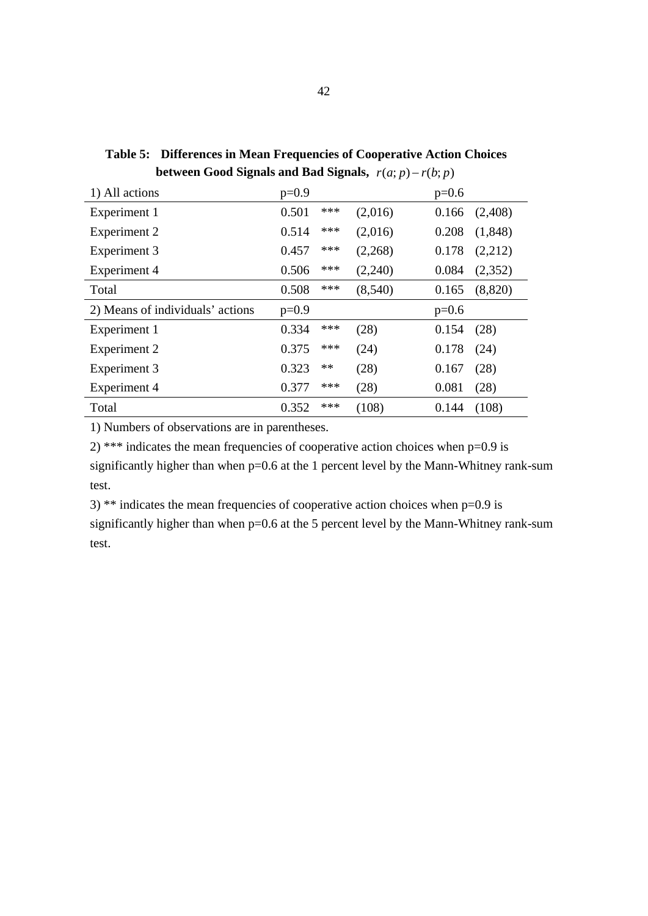| 1) All actions                   | $p=0.9$ |            |         | $p=0.6$ |         |
|----------------------------------|---------|------------|---------|---------|---------|
| Experiment 1                     | 0.501   | ***        | (2,016) | 0.166   | (2,408) |
| Experiment 2                     | 0.514   | $***$      | (2,016) | 0.208   | (1,848) |
| Experiment 3                     | 0.457   | $***$      | (2,268) | 0.178   | (2,212) |
| Experiment 4                     | 0.506   | $***$      | (2,240) | 0.084   | (2,352) |
| Total                            | 0.508   | ***        | (8,540) | 0.165   | (8,820) |
| 2) Means of individuals' actions | $p=0.9$ |            |         | $p=0.6$ |         |
| Experiment 1                     | 0.334   | ***        | (28)    | 0.154   | (28)    |
| Experiment 2                     | 0.375   | ***        | (24)    | 0.178   | (24)    |
| Experiment 3                     | 0.323   | $\ast\ast$ | (28)    | 0.167   | (28)    |
| Experiment 4                     | 0.377   | ***        | (28)    | 0.081   | (28)    |
| Total                            | 0.352   | $***$      | (108)   | 0.144   | (108)   |

**Table 5: Differences in Mean Frequencies of Cooperative Action Choices between Good Signals and Bad Signals,**  $r(a; p) - r(b; p)$ 

2) \*\*\* indicates the mean frequencies of cooperative action choices when  $p=0.9$  is significantly higher than when p=0.6 at the 1 percent level by the Mann-Whitney rank-sum test.

3) \*\* indicates the mean frequencies of cooperative action choices when p=0.9 is significantly higher than when p=0.6 at the 5 percent level by the Mann-Whitney rank-sum test.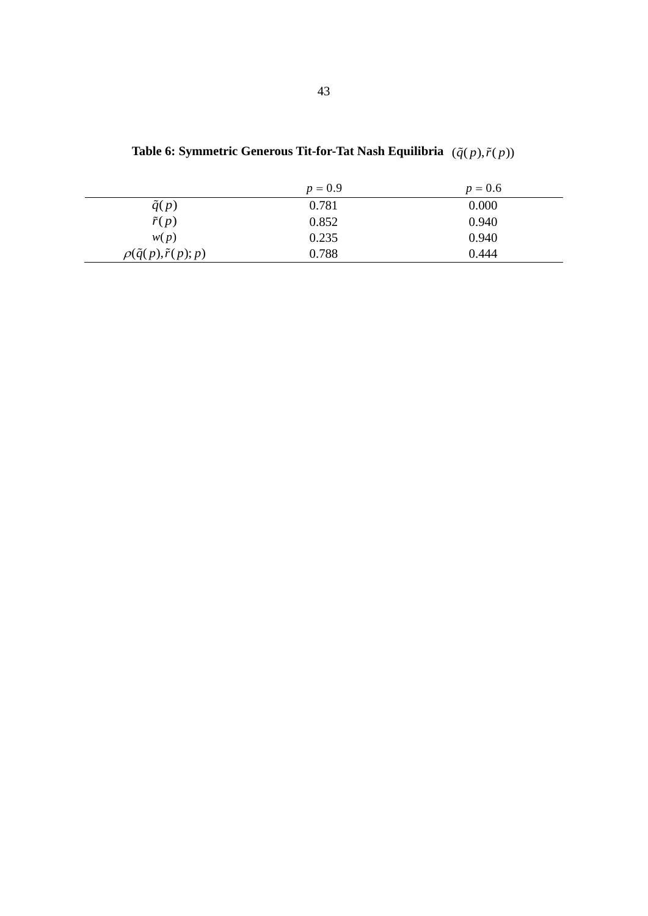|                                       | $p = 0.9$ | $p = 0.6$ |
|---------------------------------------|-----------|-----------|
| $\tilde{q}(p)$                        | 0.781     | 0.000     |
| $\tilde{r}(p)$                        | 0.852     | 0.940     |
| w(p)                                  | 0.235     | 0.940     |
| $\rho(\tilde{q}(p), \tilde{r}(p); p)$ | 0.788     | 0.444     |

| Table 6: Symmetric Generous Tit-for-Tat Nash Equilibria $(\tilde{q}(p), \tilde{r}(p))$ |  |  |  |  |  |  |
|----------------------------------------------------------------------------------------|--|--|--|--|--|--|
|----------------------------------------------------------------------------------------|--|--|--|--|--|--|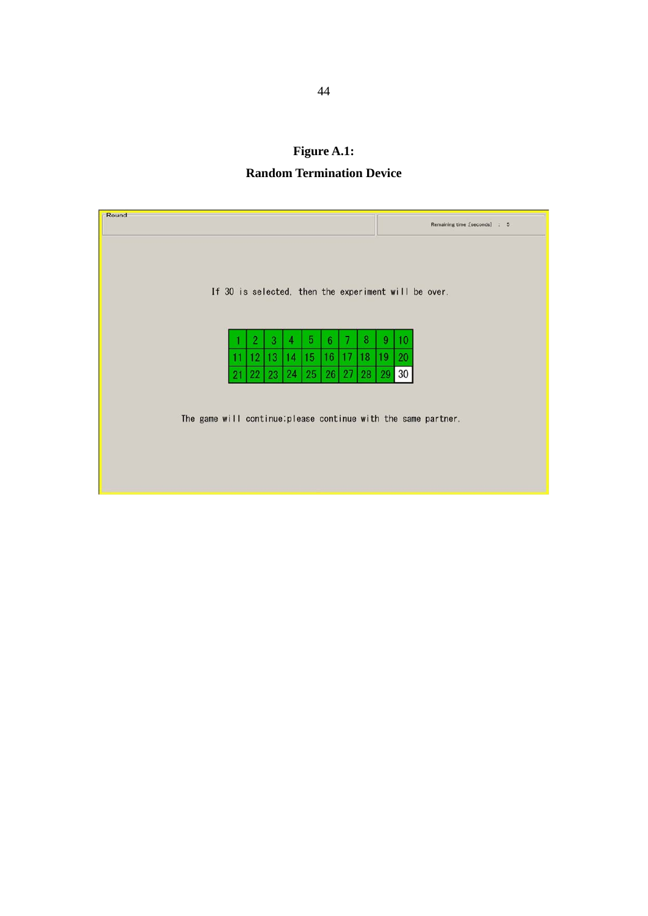**Figure A.1: Random Termination Device** 

| Round |         |         |         |         |         |    |         |         | Remaining time : [seconds] : 5                                 |
|-------|---------|---------|---------|---------|---------|----|---------|---------|----------------------------------------------------------------|
|       |         |         |         |         |         |    |         |         |                                                                |
|       |         |         |         |         |         |    |         |         |                                                                |
|       |         |         |         |         |         |    |         |         | If 30 is selected, then the experiment will be over.           |
|       |         |         |         |         |         |    |         |         |                                                                |
| 11    | 2<br>12 | 3<br>13 | 4<br>14 | 5<br>15 | 6<br>16 | 17 | 8<br>18 | 9<br>19 | 10<br>20                                                       |
| 21    | 22      | 23      | 24      | 25      | 26      | 27 | 28      | 29      | 30                                                             |
|       |         |         |         |         |         |    |         |         |                                                                |
|       |         |         |         |         |         |    |         |         | The game will continue; please continue with the same partner. |
|       |         |         |         |         |         |    |         |         |                                                                |
|       |         |         |         |         |         |    |         |         |                                                                |
|       |         |         |         |         |         |    |         |         |                                                                |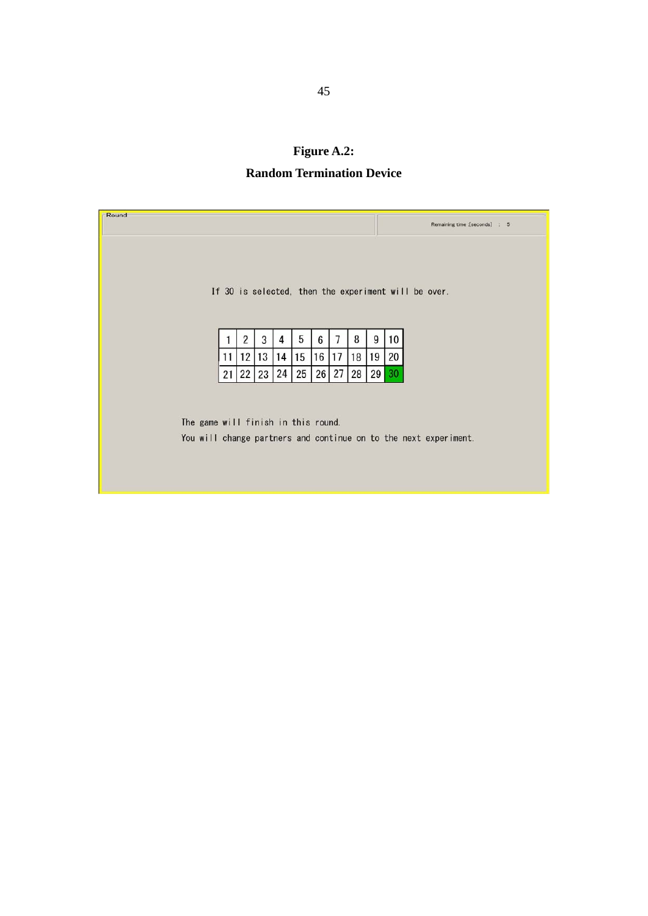## **Figure A.2: Random Termination Device**

| Round                               |    |    |    |    |    |    |                 |    |    | Remaining time : [seconds] : 5                                   |
|-------------------------------------|----|----|----|----|----|----|-----------------|----|----|------------------------------------------------------------------|
|                                     |    |    |    |    |    |    |                 |    |    |                                                                  |
|                                     |    |    |    |    |    |    |                 |    |    |                                                                  |
|                                     |    |    |    |    |    |    |                 |    |    | If 30 is selected, then the experiment will be over.             |
|                                     |    |    |    |    |    |    |                 |    |    |                                                                  |
|                                     |    | 2  | 3  | 4  | 5  | 6  |                 | 8  | 9  | 10                                                               |
|                                     | 11 | 12 | 13 | 14 | 15 | 16 | 17              | 18 | 19 | 20                                                               |
|                                     | 21 | 22 | 23 | 24 | 25 | 26 | 27 <sup>1</sup> | 28 | 29 | 30                                                               |
|                                     |    |    |    |    |    |    |                 |    |    |                                                                  |
| The game will finish in this round. |    |    |    |    |    |    |                 |    |    |                                                                  |
|                                     |    |    |    |    |    |    |                 |    |    | You will change partners and continue on to the next experiment. |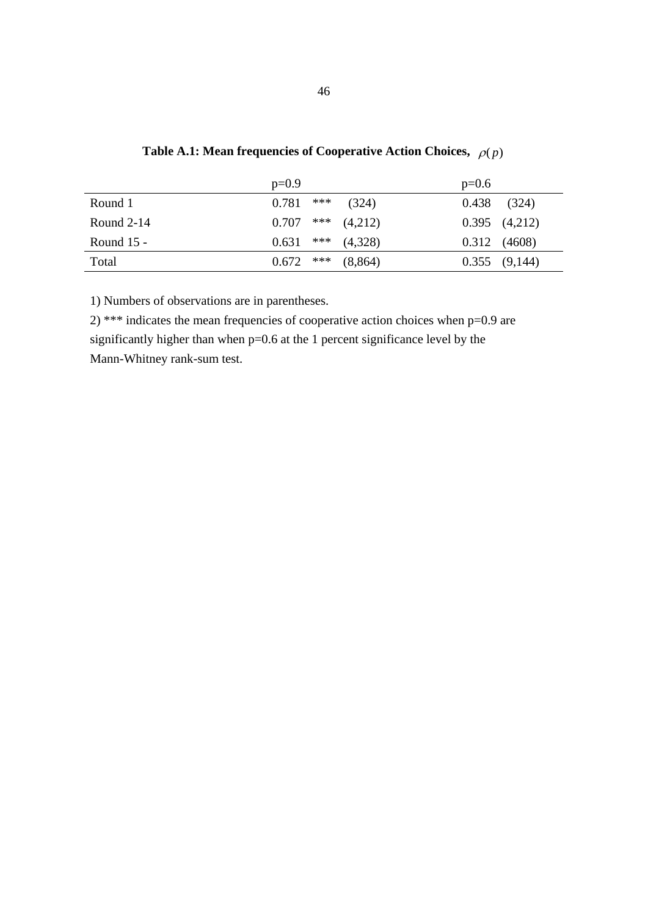|              | $p=0.9$ |       |         | $p=0.6$ |                   |
|--------------|---------|-------|---------|---------|-------------------|
| Round 1      | 0.781   | $***$ | (324)   | 0.438   | (324)             |
| Round $2-14$ | 0.707   | $***$ | (4,212) |         | $0.395$ $(4,212)$ |
| Round $15 -$ | 0.631   | $***$ | (4,328) |         | $0.312$ $(4608)$  |
| Total        | 0.672   | $***$ | (8,864) |         | $0.355$ $(9,144)$ |

**Table A.1: Mean frequencies of Cooperative Action Choices,**  $\rho(p)$ 

2) \*\*\* indicates the mean frequencies of cooperative action choices when p=0.9 are significantly higher than when p=0.6 at the 1 percent significance level by the Mann-Whitney rank-sum test.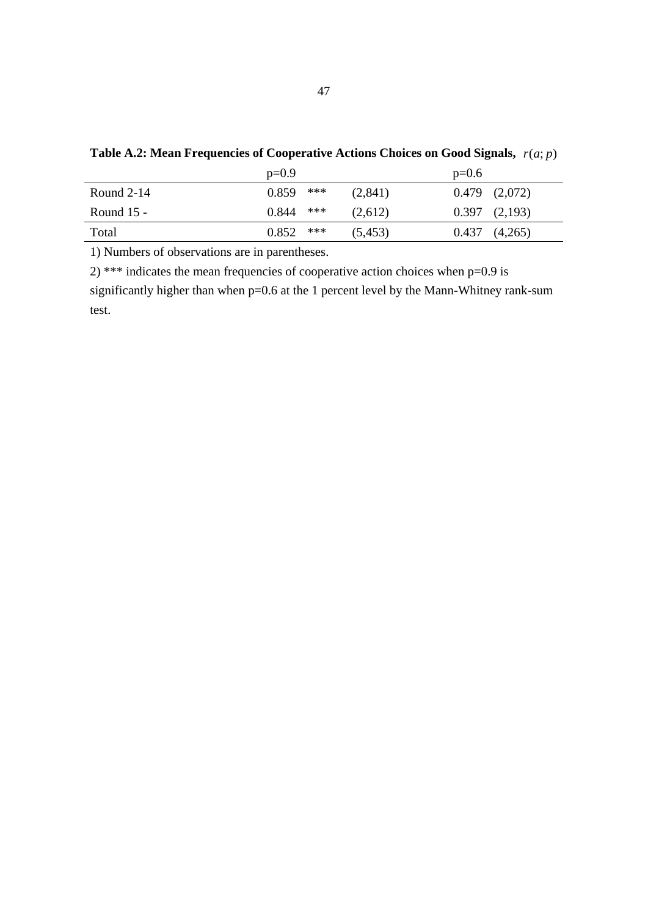|              | $p=0.9$        |          | $p=0.6$           |
|--------------|----------------|----------|-------------------|
| Round $2-14$ | $***$<br>0.859 | (2,841)  | $0.479$ $(2,072)$ |
| Round $15 -$ | $***$<br>0.844 | (2,612)  | $0.397$ $(2,193)$ |
| Total        | $***$<br>0.852 | (5, 453) | $0.437$ $(4,265)$ |

**Table A.2: Mean Frequencies of Cooperative Actions Choices on Good Signals,** *r*(*a*; *p*)

2) \*\*\* indicates the mean frequencies of cooperative action choices when  $p=0.9$  is significantly higher than when p=0.6 at the 1 percent level by the Mann-Whitney rank-sum test.